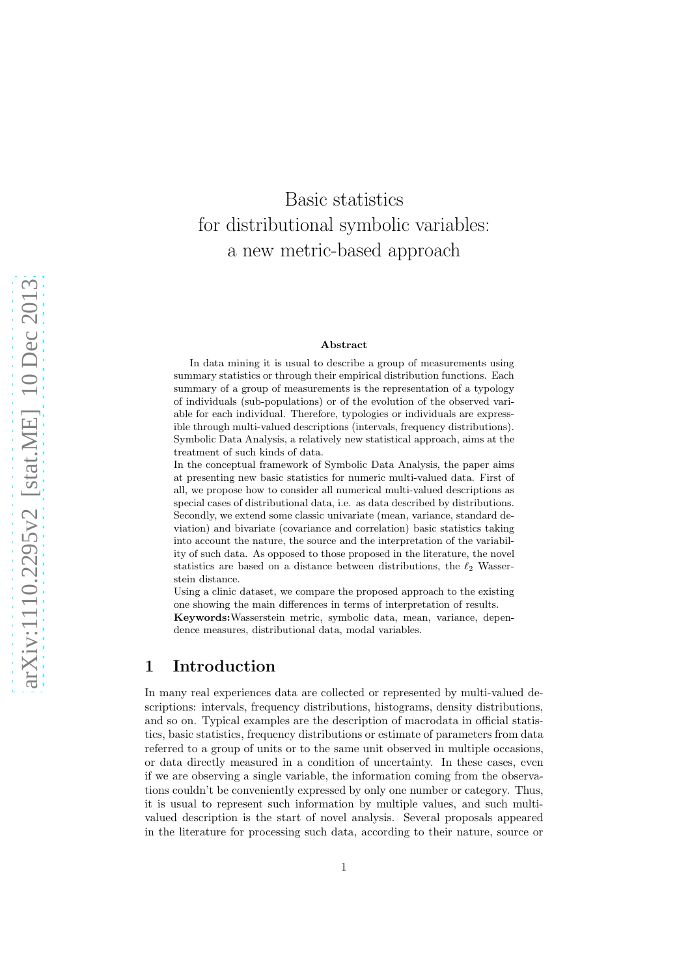# Basic statistics for distributional symbolic variables: a new metric-based approach

#### Abstract

In data mining it is usual to describe a group of measurements using summary statistics or through their empirical distribution functions. Each summary of a group of measurements is the representation of a typology of individuals (sub-populations) or of the evolution of the observed variable for each individual. Therefore, typologies or individuals are expressible through multi-valued descriptions (intervals, frequency distributions). Symbolic Data Analysis, a relatively new statistical approach, aims at the treatment of such kinds of data.

In the conceptual framework of Symbolic Data Analysis, the paper aims at presenting new basic statistics for numeric multi-valued data. First of all, we propose how to consider all numerical multi-valued descriptions as special cases of distributional data, i.e. as data described by distributions. Secondly, we extend some classic univariate (mean, variance, standard deviation) and bivariate (covariance and correlation) basic statistics taking into account the nature, the source and the interpretation of the variability of such data. As opposed to those proposed in the literature, the novel statistics are based on a distance between distributions, the  $\ell_2$  Wasserstein distance.

Using a clinic dataset, we compare the proposed approach to the existing one showing the main differences in terms of interpretation of results.

Keywords:Wasserstein metric, symbolic data, mean, variance, dependence measures, distributional data, modal variables.

### 1 Introduction

In many real experiences data are collected or represented by multi-valued descriptions: intervals, frequency distributions, histograms, density distributions, and so on. Typical examples are the description of macrodata in official statistics, basic statistics, frequency distributions or estimate of parameters from data referred to a group of units or to the same unit observed in multiple occasions, or data directly measured in a condition of uncertainty. In these cases, even if we are observing a single variable, the information coming from the observations couldn't be conveniently expressed by only one number or category. Thus, it is usual to represent such information by multiple values, and such multivalued description is the start of novel analysis. Several proposals appeared in the literature for processing such data, according to their nature, source or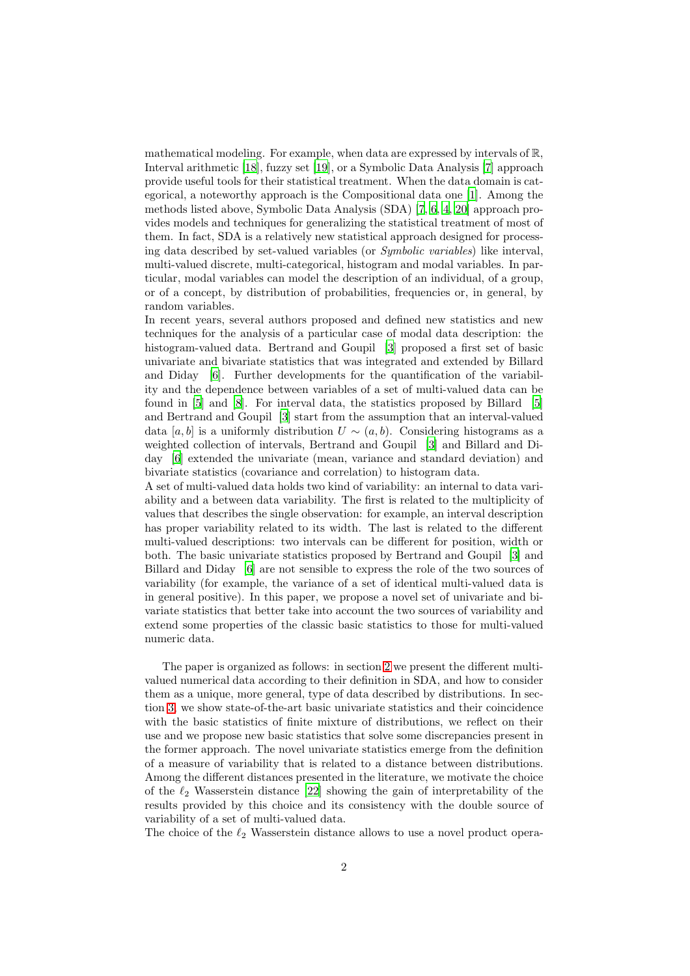mathematical modeling. For example, when data are expressed by intervals of R, Interval arithmetic [\[18](#page-27-0)], fuzzy set [\[19\]](#page-27-1), or a Symbolic Data Analysis [\[7](#page-26-0)] approach provide useful tools for their statistical treatment. When the data domain is categorical, a noteworthy approach is the Compositional data one [\[1](#page-26-1)]. Among the methods listed above, Symbolic Data Analysis (SDA) [\[7,](#page-26-0) [6,](#page-26-2) [4](#page-26-3), [20\]](#page-27-2) approach provides models and techniques for generalizing the statistical treatment of most of them. In fact, SDA is a relatively new statistical approach designed for processing data described by set-valued variables (or *Symbolic variables*) like interval, multi-valued discrete, multi-categorical, histogram and modal variables. In particular, modal variables can model the description of an individual, of a group, or of a concept, by distribution of probabilities, frequencies or, in general, by random variables.

In recent years, several authors proposed and defined new statistics and new techniques for the analysis of a particular case of modal data description: the histogram-valued data. Bertrand and Goupil [\[3](#page-26-4)] proposed a first set of basic univariate and bivariate statistics that was integrated and extended by Billard and Diday [\[6](#page-26-2)]. Further developments for the quantification of the variability and the dependence between variables of a set of multi-valued data can be found in [\[5\]](#page-26-5) and [\[8](#page-26-6)]. For interval data, the statistics proposed by Billard [\[5\]](#page-26-5) and Bertrand and Goupil [\[3](#page-26-4)] start from the assumption that an interval-valued data [a, b] is a uniformly distribution  $U \sim (a, b)$ . Considering histograms as a weighted collection of intervals, Bertrand and Goupil [\[3\]](#page-26-4) and Billard and Diday [\[6\]](#page-26-2) extended the univariate (mean, variance and standard deviation) and bivariate statistics (covariance and correlation) to histogram data.

A set of multi-valued data holds two kind of variability: an internal to data variability and a between data variability. The first is related to the multiplicity of values that describes the single observation: for example, an interval description has proper variability related to its width. The last is related to the different multi-valued descriptions: two intervals can be different for position, width or both. The basic univariate statistics proposed by Bertrand and Goupil [\[3\]](#page-26-4) and Billard and Diday [\[6\]](#page-26-2) are not sensible to express the role of the two sources of variability (for example, the variance of a set of identical multi-valued data is in general positive). In this paper, we propose a novel set of univariate and bivariate statistics that better take into account the two sources of variability and extend some properties of the classic basic statistics to those for multi-valued numeric data.

The paper is organized as follows: in section [2](#page-2-0) we present the different multivalued numerical data according to their definition in SDA, and how to consider them as a unique, more general, type of data described by distributions. In section [3,](#page-5-0) we show state-of-the-art basic univariate statistics and their coincidence with the basic statistics of finite mixture of distributions, we reflect on their use and we propose new basic statistics that solve some discrepancies present in the former approach. The novel univariate statistics emerge from the definition of a measure of variability that is related to a distance between distributions. Among the different distances presented in the literature, we motivate the choice of the  $\ell_2$  Wasserstein distance [\[22\]](#page-27-3) showing the gain of interpretability of the results provided by this choice and its consistency with the double source of variability of a set of multi-valued data.

The choice of the  $\ell_2$  Wasserstein distance allows to use a novel product opera-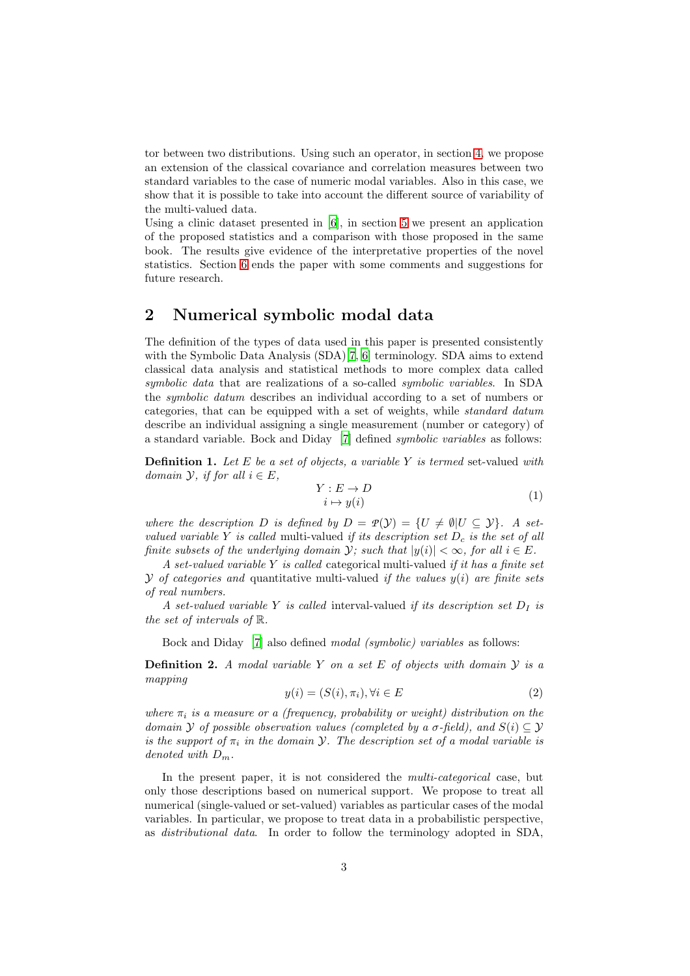tor between two distributions. Using such an operator, in section [4,](#page-16-0) we propose an extension of the classical covariance and correlation measures between two standard variables to the case of numeric modal variables. Also in this case, we show that it is possible to take into account the different source of variability of the multi-valued data.

Using a clinic dataset presented in [\[6](#page-26-2)], in section [5](#page-18-0) we present an application of the proposed statistics and a comparison with those proposed in the same book. The results give evidence of the interpretative properties of the novel statistics. Section [6](#page-24-0) ends the paper with some comments and suggestions for future research.

#### <span id="page-2-0"></span>2 Numerical symbolic modal data

The definition of the types of data used in this paper is presented consistently with the Symbolic Data Analysis (SDA)[\[7](#page-26-0), [6](#page-26-2)] terminology. SDA aims to extend classical data analysis and statistical methods to more complex data called *symbolic data* that are realizations of a so-called *symbolic variables*. In SDA the *symbolic datum* describes an individual according to a set of numbers or categories, that can be equipped with a set of weights, while *standard datum* describe an individual assigning a single measurement (number or category) of a standard variable. Bock and Diday [\[7\]](#page-26-0) defined *symbolic variables* as follows:

Definition 1. *Let* E *be a set of objects, a variable* Y *is termed* set-valued *with domain*  $\mathcal{Y}$ *, if for all*  $i \in E$ *,* 

$$
Y: E \to D \n i \mapsto y(i)
$$
\n(1)

*where the description* D *is defined by*  $D = \mathcal{P}(\mathcal{Y}) = \{U \neq \emptyset | U \subseteq \mathcal{Y}\}\$ . A set*valued variable* Y *is called* multi-valued *if its description set*  $D_c$  *is the set of all finite subsets of the underlying domain*  $\mathcal{Y}$ *; such that*  $|y(i)| < \infty$ *, for all*  $i \in E$ *.* 

*A set-valued variable* Y *is called* categorical multi-valued *if it has a finite set*  $\mathcal Y$  *of categories and* quantitative multi-valued *if the values*  $y(i)$  *are finite sets of real numbers.*

*A set-valued variable* Y *is called* interval-valued *if its description set*  $D<sub>I</sub>$  *is the set of intervals of* R*.*

Bock and Diday [\[7\]](#page-26-0) also defined *modal (symbolic) variables* as follows:

Definition 2. *A modal variable* Y *on a set* E *of objects with domain* Y *is a mapping*

$$
y(i) = (S(i), \pi_i), \forall i \in E
$$
\n<sup>(2)</sup>

*where*  $\pi_i$  *is a measure or a (frequency, probability or weight) distribution on the domain*  $Y$  *of possible observation values (completed by a*  $\sigma$ -field), and  $S(i) \subseteq Y$ *is the support of*  $\pi_i$  *in the domain*  $\mathcal{Y}$ *. The description set of a modal variable is denoted with* Dm*.*

In the present paper, it is not considered the *multi-categorical* case, but only those descriptions based on numerical support. We propose to treat all numerical (single-valued or set-valued) variables as particular cases of the modal variables. In particular, we propose to treat data in a probabilistic perspective, as *distributional data*. In order to follow the terminology adopted in SDA,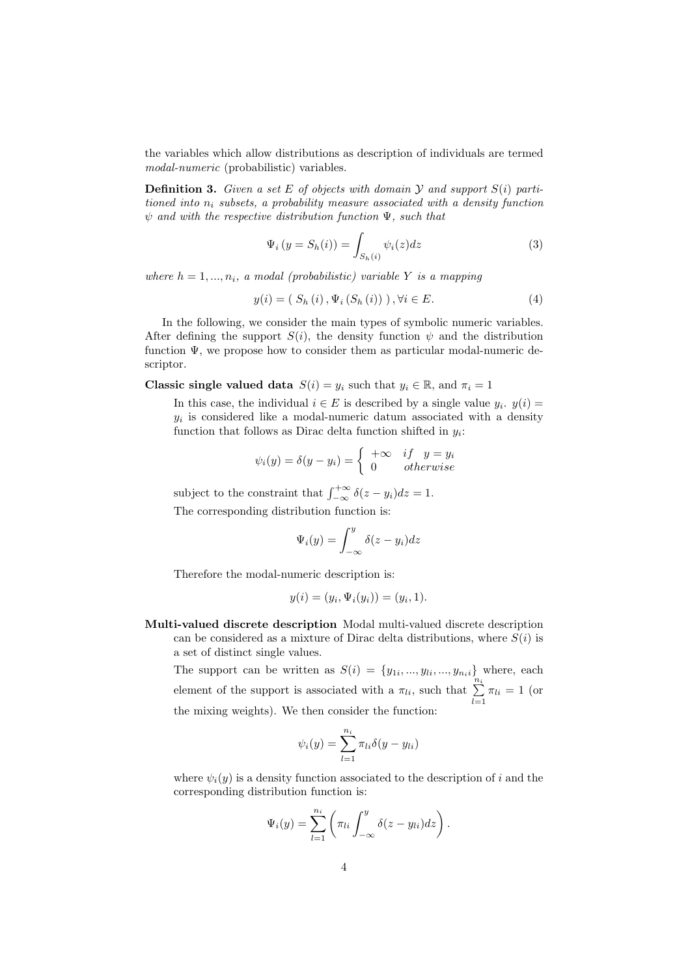the variables which allow distributions as description of individuals are termed *modal-numeric* (probabilistic) variables.

Definition 3. *Given a set* E *of objects with domain* Y *and support* S(i) *partitioned into*  $n_i$  *subsets, a probability measure associated with* a *density function* ψ *and with the respective distribution function* Ψ*, such that*

$$
\Psi_i(y = S_h(i)) = \int_{S_h(i)} \psi_i(z) dz
$$
\n(3)

*where*  $h = 1, \ldots, n_i$ , a modal (probabilistic) variable Y *is a mapping* 

$$
y(i) = (S_h(i), \Psi_i(S_h(i))) \,, \forall i \in E. \tag{4}
$$

In the following, we consider the main types of symbolic numeric variables. After defining the support  $S(i)$ , the density function  $\psi$  and the distribution function Ψ, we propose how to consider them as particular modal-numeric descriptor.

**Classic single valued data**  $S(i) = y_i$  such that  $y_i \in \mathbb{R}$ , and  $\pi_i = 1$ 

In this case, the individual  $i \in E$  is described by a single value  $y_i$ .  $y(i) =$  $y_i$  is considered like a modal-numeric datum associated with a density function that follows as Dirac delta function shifted in  $y_i$ :

$$
\psi_i(y) = \delta(y - y_i) = \begin{cases} +\infty & \text{if } y = y_i \\ 0 & \text{otherwise} \end{cases}
$$

subject to the constraint that  $\int_{-\infty}^{+\infty} \delta(z - y_i) dz = 1$ . The corresponding distribution function is:

$$
\Psi_i(y) = \int_{-\infty}^y \delta(z - y_i) dz
$$

Therefore the modal-numeric description is:

$$
y(i) = (y_i, \Psi_i(y_i)) = (y_i, 1).
$$

Multi-valued discrete description Modal multi-valued discrete description can be considered as a mixture of Dirac delta distributions, where  $S(i)$  is a set of distinct single values.

The support can be written as  $S(i) = \{y_{1i},...,y_{li},...,y_{nii}\}\$  where, each element of the support is associated with a  $\pi_{li}$ , such that  $\sum_{l=1}^{n_i} \pi_{li} = 1$  (or the mixing weights). We then consider the function:

$$
\psi_i(y) = \sum_{l=1}^{n_i} \pi_{li} \delta(y - y_{li})
$$

where  $\psi_i(y)$  is a density function associated to the description of i and the corresponding distribution function is:

$$
\Psi_i(y) = \sum_{l=1}^{n_i} \left( \pi_{li} \int_{-\infty}^y \delta(z - y_{li}) dz \right).
$$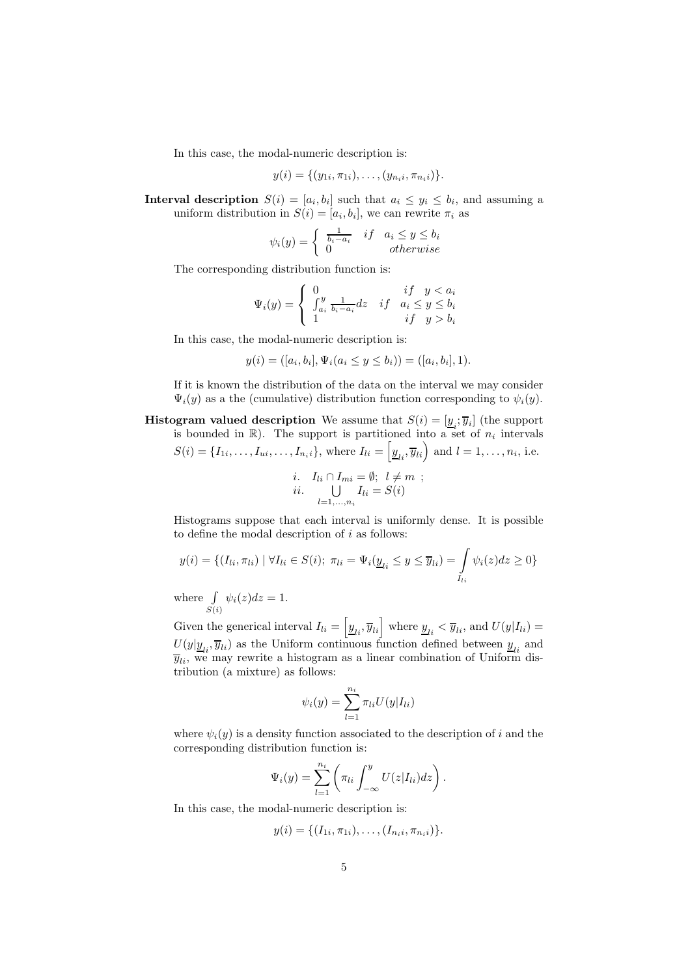In this case, the modal-numeric description is:

$$
y(i) = \{(y_{1i}, \pi_{1i}), \ldots, (y_{n_i}, \pi_{n_i})\}.
$$

**Interval description**  $S(i) = [a_i, b_i]$  such that  $a_i \leq y_i \leq b_i$ , and assuming a uniform distribution in  $S(i) = [a_i, b_i]$ , we can rewrite  $\pi_i$  as

$$
\psi_i(y) = \begin{cases} \frac{1}{b_i - a_i} & if \quad a_i \le y \le b_i \\ 0 & otherwise \end{cases}
$$

The corresponding distribution function is:

$$
\Psi_i(y) = \begin{cases} 0 & if \quad y < a_i \\ \int_{a_i}^y \frac{1}{b_i - a_i} dz & if \quad a_i \le y \le b_i \\ 1 & if \quad y > b_i \end{cases}
$$

In this case, the modal-numeric description is:

$$
y(i) = ([a_i, b_i], \Psi_i(a_i \le y \le b_i)) = ([a_i, b_i], 1).
$$

If it is known the distribution of the data on the interval we may consider  $\Psi_i(y)$  as a the (cumulative) distribution function corresponding to  $\psi_i(y)$ .

**Histogram valued description** We assume that  $S(i) = [\underline{y}_i; \overline{y}_i]$  (the support is bounded in  $\mathbb{R}$ ). The support is partitioned into a set of  $n_i$  intervals  $S(i) = \{I_{1i}, \ldots, I_{ui}, \ldots, I_{ni}\}\text{, where } I_{li} = \left[\underline{y}_{li}, \overline{y}_{li}\right) \text{ and } l = 1, \ldots, n_i \text{, i.e.}\right]$ 

i. 
$$
I_{li} \cap I_{mi} = \emptyset; l \neq m ;
$$
  
ii. 
$$
\bigcup_{l=1,...,n_i} I_{li} = S(i)
$$

Histograms suppose that each interval is uniformly dense. It is possible to define the modal description of  $i$  as follows:

$$
y(i) = \{ (I_{li}, \pi_{li}) \mid \forall I_{li} \in S(i); \ \pi_{li} = \Psi_i(\underline{y}_{li} \le y \le \overline{y}_{li}) = \int_{I_{li}} \psi_i(z) dz \ge 0 \}
$$

where  $\int$  $S(i)$  $\psi_i(z)dz=1.$ 

Given the generical interval  $I_{li} = \left[\underline{y}_{li}, \overline{y}_{li}\right]$  where  $\underline{y}_{li} < \overline{y}_{li}$ , and  $U(y|I_{li}) =$  $U(y|\underline{y}_{li}, \overline{y}_{li})$  as the Uniform continuous function defined between  $\underline{y}_{li}$  and  $\overline{y}_{li}$ , we may rewrite a histogram as a linear combination of Uniform distribution (a mixture) as follows:

$$
\psi_i(y) = \sum_{l=1}^{n_i} \pi_{li} U(y|I_{li})
$$

where  $\psi_i(y)$  is a density function associated to the description of i and the corresponding distribution function is:

$$
\Psi_i(y) = \sum_{l=1}^{n_i} \left( \pi_{li} \int_{-\infty}^y U(z|I_{li}) dz \right).
$$

In this case, the modal-numeric description is:

$$
y(i) = \{(I_{1i}, \pi_{1i}), \ldots, (I_{n_i i}, \pi_{n_i i})\}.
$$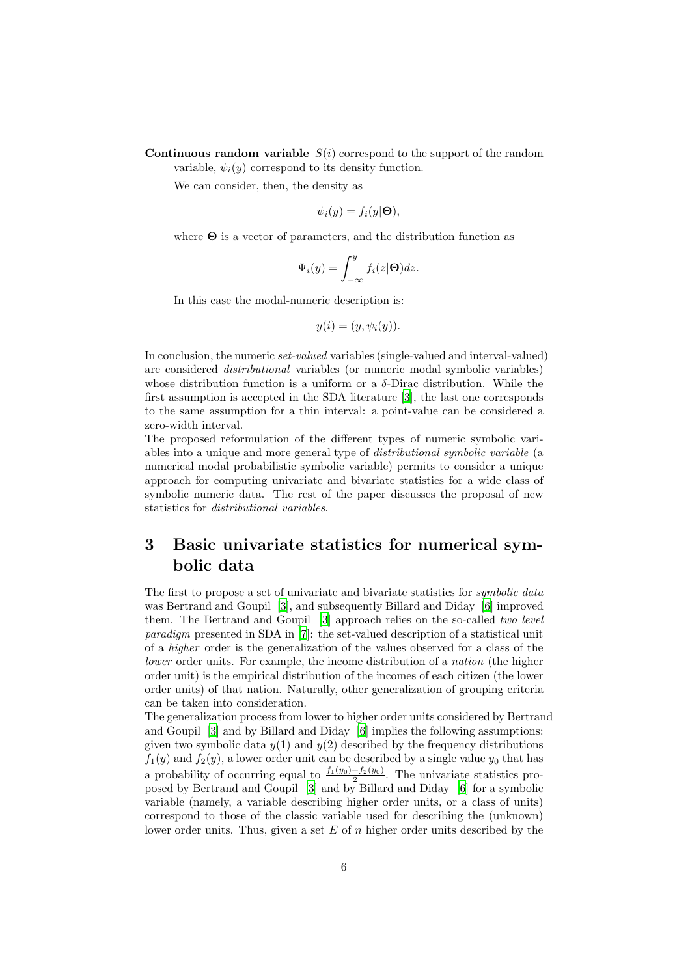**Continuous random variable**  $S(i)$  correspond to the support of the random variable,  $\psi_i(y)$  correspond to its density function.

We can consider, then, the density as

$$
\psi_i(y) = f_i(y|\mathbf{\Theta}),
$$

where  $\Theta$  is a vector of parameters, and the distribution function as

$$
\Psi_i(y) = \int_{-\infty}^y f_i(z|\Theta) dz.
$$

In this case the modal-numeric description is:

$$
y(i) = (y, \psi_i(y)).
$$

In conclusion, the numeric *set-valued* variables (single-valued and interval-valued) are considered *distributional* variables (or numeric modal symbolic variables) whose distribution function is a uniform or a  $\delta$ -Dirac distribution. While the first assumption is accepted in the SDA literature [\[3\]](#page-26-4), the last one corresponds to the same assumption for a thin interval: a point-value can be considered a zero-width interval.

The proposed reformulation of the different types of numeric symbolic variables into a unique and more general type of *distributional symbolic variable* (a numerical modal probabilistic symbolic variable) permits to consider a unique approach for computing univariate and bivariate statistics for a wide class of symbolic numeric data. The rest of the paper discusses the proposal of new statistics for *distributional variables*.

## <span id="page-5-0"></span>3 Basic univariate statistics for numerical symbolic data

The first to propose a set of univariate and bivariate statistics for *symbolic data* was Bertrand and Goupil [\[3\]](#page-26-4), and subsequently Billard and Diday [\[6\]](#page-26-2) improved them. The Bertrand and Goupil [\[3\]](#page-26-4) approach relies on the so-called *two level paradigm* presented in SDA in [\[7\]](#page-26-0): the set-valued description of a statistical unit of a *higher* order is the generalization of the values observed for a class of the *lower* order units. For example, the income distribution of a *nation* (the higher order unit) is the empirical distribution of the incomes of each citizen (the lower order units) of that nation. Naturally, other generalization of grouping criteria can be taken into consideration.

The generalization process from lower to higher order units considered by Bertrand and Goupil [\[3\]](#page-26-4) and by Billard and Diday [\[6](#page-26-2)] implies the following assumptions: given two symbolic data  $y(1)$  and  $y(2)$  described by the frequency distributions  $f_1(y)$  and  $f_2(y)$ , a lower order unit can be described by a single value  $y_0$  that has a probability of occurring equal to  $\frac{f_1(y_0)+f_2(y_0)}{2}$ . The univariate statistics proposed by Bertrand and Goupil [\[3](#page-26-4)] and by Billard and Diday [\[6\]](#page-26-2) for a symbolic variable (namely, a variable describing higher order units, or a class of units) correspond to those of the classic variable used for describing the (unknown) lower order units. Thus, given a set  $E$  of n higher order units described by the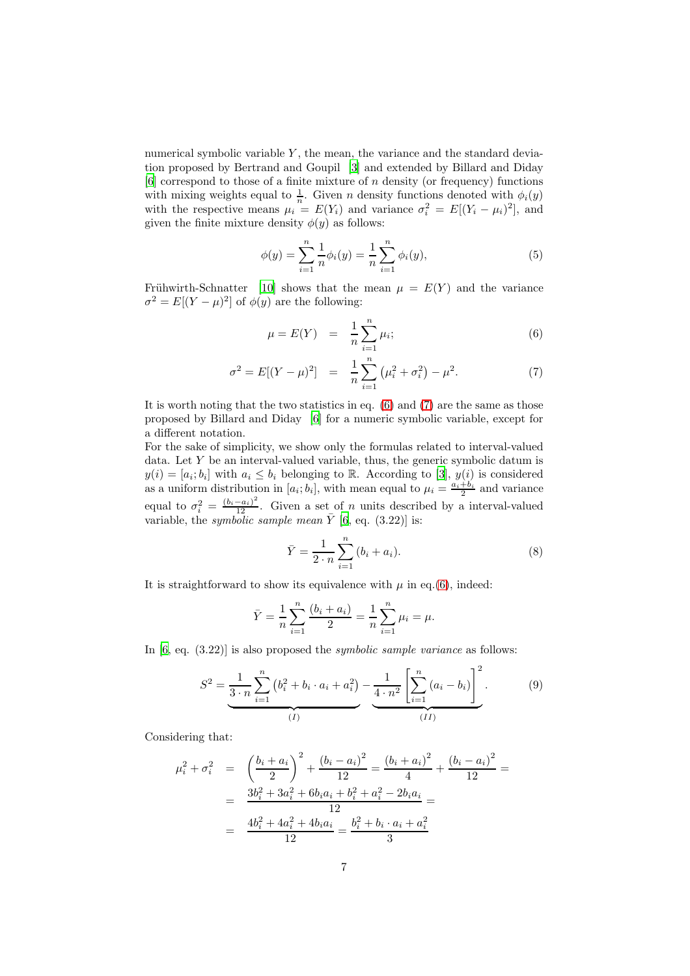numerical symbolic variable  $Y$ , the mean, the variance and the standard deviation proposed by Bertrand and Goupil [\[3\]](#page-26-4) and extended by Billard and Diday  $[6]$  correspond to those of a finite mixture of n density (or frequency) functions with mixing weights equal to  $\frac{1}{n}$ . Given *n* density functions denoted with  $\phi_i(y)$ with the respective means  $\mu_i = E(Y_i)$  and variance  $\sigma_i^2 = E[(Y_i - \mu_i)^2]$ , and given the finite mixture density  $\phi(y)$  as follows:

$$
\phi(y) = \sum_{i=1}^{n} \frac{1}{n} \phi_i(y) = \frac{1}{n} \sum_{i=1}^{n} \phi_i(y),\tag{5}
$$

Frühwirth-Schnatter [\[10\]](#page-26-7) shows that the mean  $\mu = E(Y)$  and the variance  $\sigma^2 = E[(Y - \mu)^2]$  of  $\phi(y)$  are the following:

<span id="page-6-0"></span>
$$
\mu = E(Y) = \frac{1}{n} \sum_{i=1}^{n} \mu_i; \tag{6}
$$

$$
\sigma^2 = E[(Y - \mu)^2] = \frac{1}{n} \sum_{i=1}^n (\mu_i^2 + \sigma_i^2) - \mu^2.
$$
 (7)

It is worth noting that the two statistics in eq. [\(6\)](#page-6-0) and [\(7\)](#page-6-0) are the same as those proposed by Billard and Diday [\[6\]](#page-26-2) for a numeric symbolic variable, except for a different notation.

For the sake of simplicity, we show only the formulas related to interval-valued data. Let  $Y$  be an interval-valued variable, thus, the generic symbolic datum is  $y(i) = [a_i; b_i]$  with  $a_i \leq b_i$  belonging to R. According to [\[3\]](#page-26-4),  $y(i)$  is considered as a uniform distribution in  $[a_i; b_i]$ , with mean equal to  $\mu_i = \frac{a_i + b_i}{2}$  and variance equal to  $\sigma_i^2 = \frac{(b_i - a_i)^2}{12}$ . Given a set of *n* units described by a interval-valued variable, the *symbolic sample mean*  $\bar{Y}$  [\[6](#page-26-2), eq. (3.22)] is:

<span id="page-6-2"></span>
$$
\bar{Y} = \frac{1}{2 \cdot n} \sum_{i=1}^{n} (b_i + a_i).
$$
 (8)

It is straightforward to show its equivalence with  $\mu$  in eq.[\(6\)](#page-6-0), indeed:

$$
\bar{Y} = \frac{1}{n} \sum_{i=1}^{n} \frac{(b_i + a_i)}{2} = \frac{1}{n} \sum_{i=1}^{n} \mu_i = \mu.
$$

In [\[6,](#page-26-2) eq. (3.22)] is also proposed the *symbolic sample variance* as follows:

<span id="page-6-1"></span>
$$
S^{2} = \underbrace{\frac{1}{3 \cdot n} \sum_{i=1}^{n} (b_{i}^{2} + b_{i} \cdot a_{i} + a_{i}^{2})}_{(I)} - \underbrace{\frac{1}{4 \cdot n^{2}} \left[ \sum_{i=1}^{n} (a_{i} - b_{i}) \right]^{2}}_{(II)}.
$$
 (9)

Considering that:

$$
\mu_i^2 + \sigma_i^2 = \left(\frac{b_i + a_i}{2}\right)^2 + \frac{(b_i - a_i)^2}{12} = \frac{(b_i + a_i)^2}{4} + \frac{(b_i - a_i)^2}{12} =
$$
  
= 
$$
\frac{3b_i^2 + 3a_i^2 + 6b_i a_i + b_i^2 + a_i^2 - 2b_i a_i}{12} =
$$
  
= 
$$
\frac{4b_i^2 + 4a_i^2 + 4b_i a_i}{12} = \frac{b_i^2 + b_i \cdot a_i + a_i^2}{3}
$$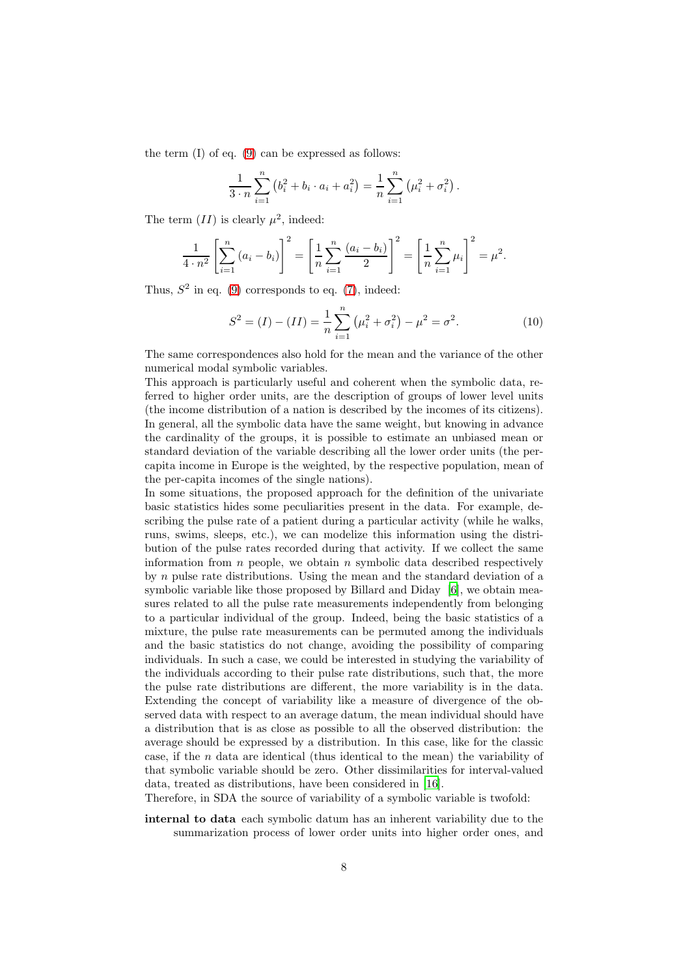the term  $(I)$  of eq.  $(9)$  can be expressed as follows:

$$
\frac{1}{3 \cdot n} \sum_{i=1}^{n} (b_i^2 + b_i \cdot a_i + a_i^2) = \frac{1}{n} \sum_{i=1}^{n} (\mu_i^2 + \sigma_i^2).
$$

The term  $(II)$  is clearly  $\mu^2$ , indeed:

$$
\frac{1}{4 \cdot n^2} \left[ \sum_{i=1}^n (a_i - b_i) \right]^2 = \left[ \frac{1}{n} \sum_{i=1}^n \frac{(a_i - b_i)}{2} \right]^2 = \left[ \frac{1}{n} \sum_{i=1}^n \mu_i \right]^2 = \mu^2.
$$

Thus,  $S^2$  in eq. [\(9\)](#page-6-1) corresponds to eq. [\(7\)](#page-6-0), indeed:

<span id="page-7-0"></span>
$$
S^{2} = (I) - (II) = \frac{1}{n} \sum_{i=1}^{n} (\mu_{i}^{2} + \sigma_{i}^{2}) - \mu^{2} = \sigma^{2}.
$$
 (10)

The same correspondences also hold for the mean and the variance of the other numerical modal symbolic variables.

This approach is particularly useful and coherent when the symbolic data, referred to higher order units, are the description of groups of lower level units (the income distribution of a nation is described by the incomes of its citizens). In general, all the symbolic data have the same weight, but knowing in advance the cardinality of the groups, it is possible to estimate an unbiased mean or standard deviation of the variable describing all the lower order units (the percapita income in Europe is the weighted, by the respective population, mean of the per-capita incomes of the single nations).

In some situations, the proposed approach for the definition of the univariate basic statistics hides some peculiarities present in the data. For example, describing the pulse rate of a patient during a particular activity (while he walks, runs, swims, sleeps, etc.), we can modelize this information using the distribution of the pulse rates recorded during that activity. If we collect the same information from  $n$  people, we obtain  $n$  symbolic data described respectively by  $n$  pulse rate distributions. Using the mean and the standard deviation of a symbolic variable like those proposed by Billard and Diday [\[6\]](#page-26-2), we obtain measures related to all the pulse rate measurements independently from belonging to a particular individual of the group. Indeed, being the basic statistics of a mixture, the pulse rate measurements can be permuted among the individuals and the basic statistics do not change, avoiding the possibility of comparing individuals. In such a case, we could be interested in studying the variability of the individuals according to their pulse rate distributions, such that, the more the pulse rate distributions are different, the more variability is in the data. Extending the concept of variability like a measure of divergence of the observed data with respect to an average datum, the mean individual should have a distribution that is as close as possible to all the observed distribution: the average should be expressed by a distribution. In this case, like for the classic case, if the  $n$  data are identical (thus identical to the mean) the variability of that symbolic variable should be zero. Other dissimilarities for interval-valued data, treated as distributions, have been considered in [\[16\]](#page-27-4).

Therefore, in SDA the source of variability of a symbolic variable is twofold:

internal to data each symbolic datum has an inherent variability due to the summarization process of lower order units into higher order ones, and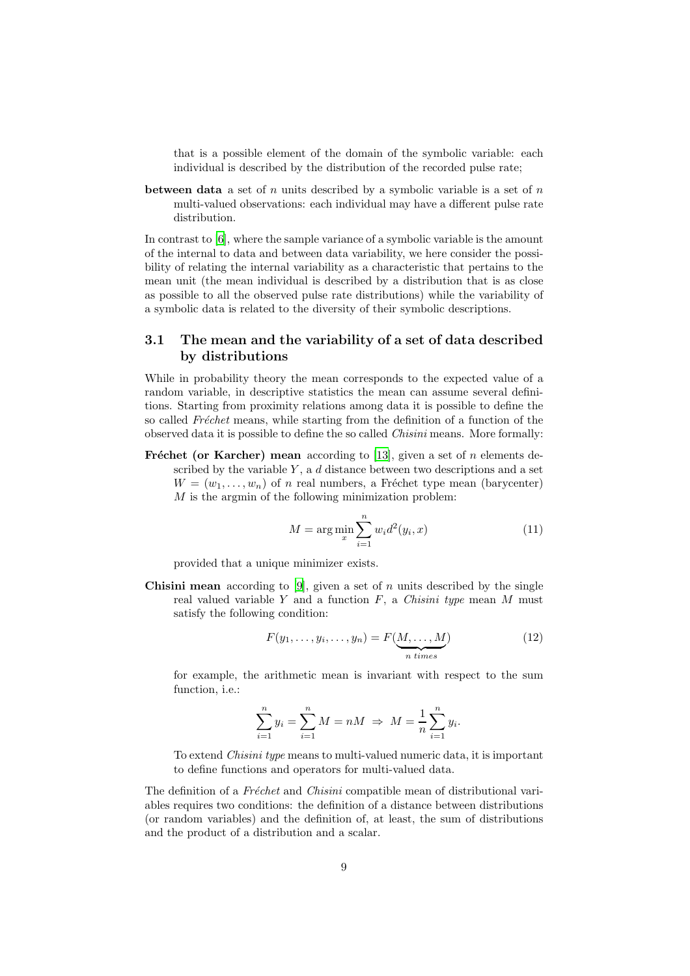that is a possible element of the domain of the symbolic variable: each individual is described by the distribution of the recorded pulse rate;

**between data** a set of n units described by a symbolic variable is a set of  $n$ multi-valued observations: each individual may have a different pulse rate distribution.

In contrast to [\[6\]](#page-26-2), where the sample variance of a symbolic variable is the amount of the internal to data and between data variability, we here consider the possibility of relating the internal variability as a characteristic that pertains to the mean unit (the mean individual is described by a distribution that is as close as possible to all the observed pulse rate distributions) while the variability of a symbolic data is related to the diversity of their symbolic descriptions.

#### 3.1 The mean and the variability of a set of data described by distributions

While in probability theory the mean corresponds to the expected value of a random variable, in descriptive statistics the mean can assume several definitions. Starting from proximity relations among data it is possible to define the so called *Fréchet* means, while starting from the definition of a function of the observed data it is possible to define the so called *Chisini* means. More formally:

Fréchet (or Karcher) mean according to [\[13\]](#page-26-8), given a set of n elements described by the variable  $Y$ , a  $d$  distance between two descriptions and a set  $W = (w_1, \ldots, w_n)$  of n real numbers, a Fréchet type mean (barycenter)  $M$  is the argmin of the following minimization problem:

<span id="page-8-1"></span>
$$
M = \arg\min_{x} \sum_{i=1}^{n} w_i d^2(y_i, x)
$$
\n(11)

provided that a unique minimizer exists.

**Chisini mean** according to [\[9\]](#page-26-9), given a set of n units described by the single real valued variable Y and a function F, a *Chisini type* mean M must satisfy the following condition:

<span id="page-8-0"></span>
$$
F(y_1, \ldots, y_i, \ldots, y_n) = F(\underbrace{M, \ldots, M}_{n \text{ times}})
$$
\n(12)

for example, the arithmetic mean is invariant with respect to the sum function, i.e.:

$$
\sum_{i=1}^{n} y_i = \sum_{i=1}^{n} M = nM \Rightarrow M = \frac{1}{n} \sum_{i=1}^{n} y_i.
$$

To extend *Chisini type* means to multi-valued numeric data, it is important to define functions and operators for multi-valued data.

The definition of a *Fréchet* and *Chisini* compatible mean of distributional variables requires two conditions: the definition of a distance between distributions (or random variables) and the definition of, at least, the sum of distributions and the product of a distribution and a scalar.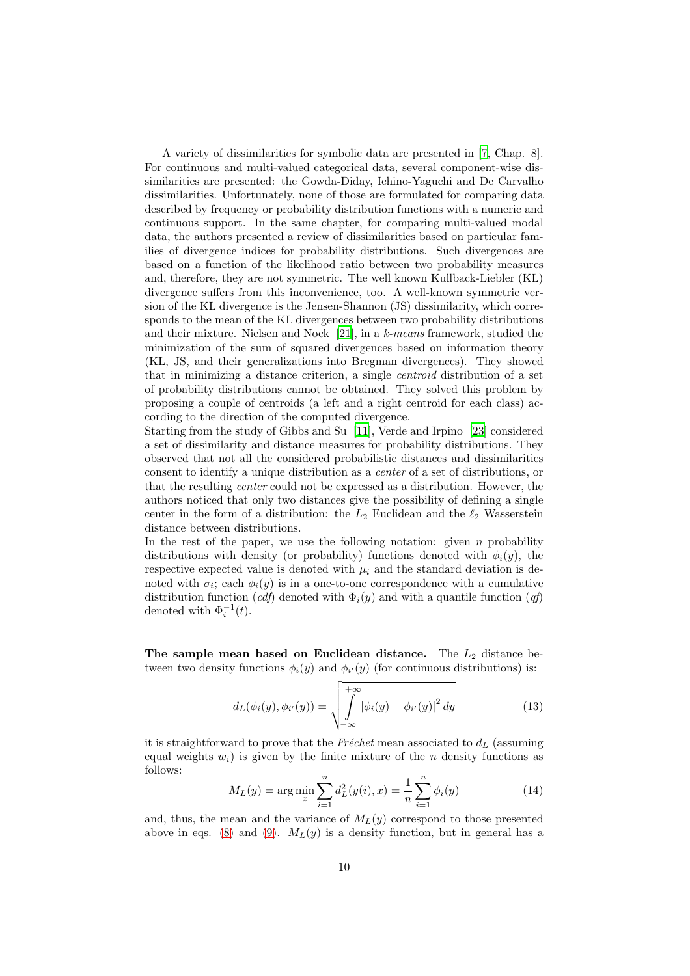A variety of dissimilarities for symbolic data are presented in [\[7](#page-26-0), Chap. 8]. For continuous and multi-valued categorical data, several component-wise dissimilarities are presented: the Gowda-Diday, Ichino-Yaguchi and De Carvalho dissimilarities. Unfortunately, none of those are formulated for comparing data described by frequency or probability distribution functions with a numeric and continuous support. In the same chapter, for comparing multi-valued modal data, the authors presented a review of dissimilarities based on particular families of divergence indices for probability distributions. Such divergences are based on a function of the likelihood ratio between two probability measures and, therefore, they are not symmetric. The well known Kullback-Liebler (KL) divergence suffers from this inconvenience, too. A well-known symmetric version of the KL divergence is the Jensen-Shannon (JS) dissimilarity, which corresponds to the mean of the KL divergences between two probability distributions and their mixture. Nielsen and Nock [\[21\]](#page-27-5), in a *k-means* framework, studied the minimization of the sum of squared divergences based on information theory (KL, JS, and their generalizations into Bregman divergences). They showed that in minimizing a distance criterion, a single *centroid* distribution of a set of probability distributions cannot be obtained. They solved this problem by proposing a couple of centroids (a left and a right centroid for each class) according to the direction of the computed divergence.

Starting from the study of Gibbs and Su [\[11\]](#page-26-10), Verde and Irpino [\[23\]](#page-27-6) considered a set of dissimilarity and distance measures for probability distributions. They observed that not all the considered probabilistic distances and dissimilarities consent to identify a unique distribution as a *center* of a set of distributions, or that the resulting *center* could not be expressed as a distribution. However, the authors noticed that only two distances give the possibility of defining a single center in the form of a distribution: the  $L_2$  Euclidean and the  $\ell_2$  Wasserstein distance between distributions.

In the rest of the paper, we use the following notation: given  $n$  probability distributions with density (or probability) functions denoted with  $\phi_i(y)$ , the respective expected value is denoted with  $\mu_i$  and the standard deviation is denoted with  $\sigma_i$ ; each  $\phi_i(y)$  is in a one-to-one correspondence with a cumulative distribution function (*cdf*) denoted with  $\Phi_i(y)$  and with a quantile function (*qf*) denoted with  $\Phi_i^{-1}(t)$ .

The sample mean based on Euclidean distance. The  $L_2$  distance between two density functions  $\phi_i(y)$  and  $\phi_{i'}(y)$  (for continuous distributions) is:

$$
d_L(\phi_i(y), \phi_{i'}(y)) = \sqrt{\int_{-\infty}^{+\infty} |\phi_i(y) - \phi_{i'}(y)|^2 dy}
$$
 (13)

it is straightforward to prove that the  $Fréchet$  mean associated to  $d<sub>L</sub>$  (assuming equal weights  $w_i$ ) is given by the finite mixture of the *n* density functions as follows:

$$
M_L(y) = \arg\min_{x} \sum_{i=1}^{n} d_L^2(y(i), x) = \frac{1}{n} \sum_{i=1}^{n} \phi_i(y)
$$
 (14)

and, thus, the mean and the variance of  $M_L(y)$  correspond to those presented above in eqs. [\(8\)](#page-6-2) and [\(9\)](#page-6-1).  $M_L(y)$  is a density function, but in general has a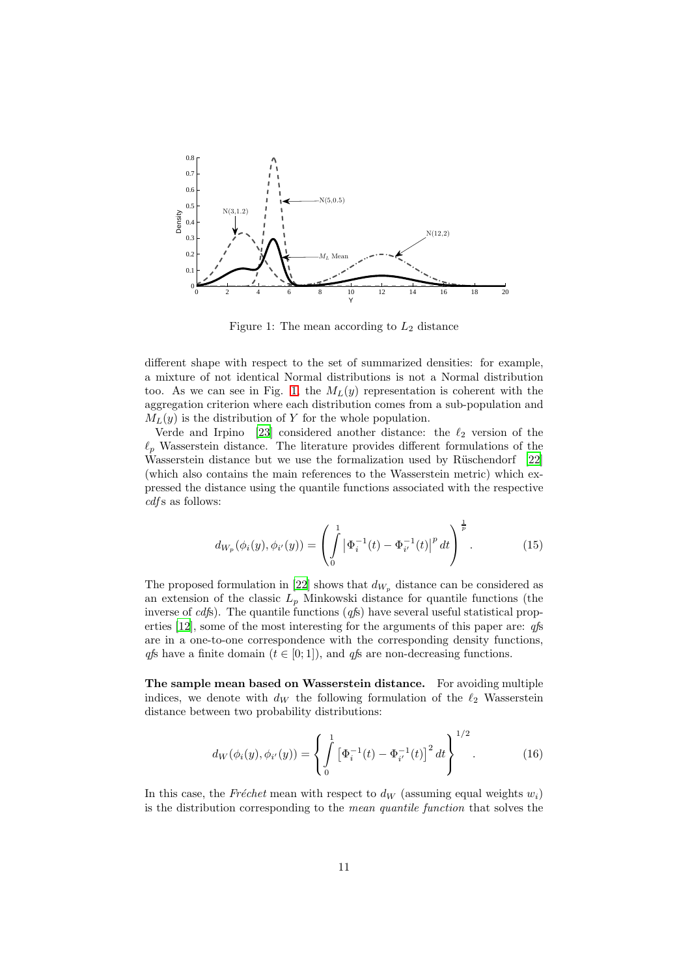

<span id="page-10-0"></span>Figure 1: The mean according to  $L_2$  distance

different shape with respect to the set of summarized densities: for example, a mixture of not identical Normal distributions is not a Normal distribution too. As we can see in Fig. [1,](#page-10-0) the  $M_L(y)$  representation is coherent with the aggregation criterion where each distribution comes from a sub-population and  $M_L(y)$  is the distribution of Y for the whole population.

Verde and Irpino [\[23\]](#page-27-6) considered another distance: the  $\ell_2$  version of the  $\ell_p$  Wasserstein distance. The literature provides different formulations of the Wasserstein distance but we use the formalization used by Rüschendorf [\[22\]](#page-27-3) (which also contains the main references to the Wasserstein metric) which expressed the distance using the quantile functions associated with the respective *cdf* s as follows:

$$
d_{W_p}(\phi_i(y), \phi_{i'}(y)) = \left(\int_0^1 \left|\Phi_i^{-1}(t) - \Phi_{i'}^{-1}(t)\right|^p dt\right)^{\frac{1}{p}}.
$$
 (15)

The proposed formulation in [\[22\]](#page-27-3) shows that  $d_{W_p}$  distance can be considered as an extension of the classic  $L_p$  Minkowski distance for quantile functions (the inverse of *cdf*s). The quantile functions (*qf*s) have several useful statistical properties [\[12\]](#page-26-11), some of the most interesting for the arguments of this paper are: *qf*s are in a one-to-one correspondence with the corresponding density functions, *qfs* have a finite domain  $(t \in [0, 1])$ , and *qfs* are non-decreasing functions.

The sample mean based on Wasserstein distance. For avoiding multiple indices, we denote with  $d_W$  the following formulation of the  $\ell_2$  Wasserstein distance between two probability distributions:

$$
d_W(\phi_i(y), \phi_{i'}(y)) = \left\{ \int_0^1 \left[ \Phi_i^{-1}(t) - \Phi_{i'}^{-1}(t) \right]^2 dt \right\}^{1/2}.
$$
 (16)

In this case, the *Fréchet* mean with respect to  $d_W$  (assuming equal weights  $w_i$ ) is the distribution corresponding to the *mean quantile function* that solves the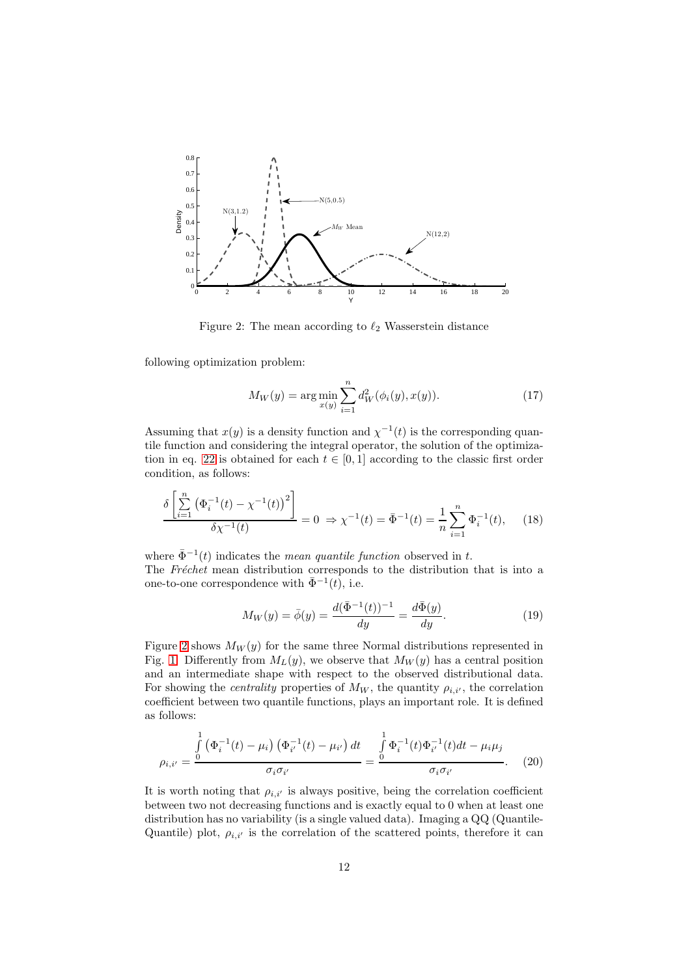

Figure 2: The mean according to  $\ell_2$  Wasserstein distance

following optimization problem:

<span id="page-11-0"></span>
$$
M_W(y) = \arg\min_{x(y)} \sum_{i=1}^n d_W^2(\phi_i(y), x(y)).
$$
\n(17)

Assuming that  $x(y)$  is a density function and  $\chi^{-1}(t)$  is the corresponding quantile function and considering the integral operator, the solution of the optimization in eq. 22 is obtained for each  $t \in [0,1]$  according to the classic first order condition, as follows:

$$
\frac{\delta \left[ \sum_{i=1}^{n} \left( \Phi_i^{-1}(t) - \chi^{-1}(t) \right)^2 \right]}{\delta \chi^{-1}(t)} = 0 \Rightarrow \chi^{-1}(t) = \bar{\Phi}^{-1}(t) = \frac{1}{n} \sum_{i=1}^{n} \Phi_i^{-1}(t), \quad (18)
$$

where  $\bar{\Phi}^{-1}(t)$  indicates the *mean quantile function* observed in t. The *Fréchet* mean distribution corresponds to the distribution that is into a one-to-one correspondence with  $\bar{\Phi}^{-1}(t)$ , i.e.

$$
M_W(y) = \bar{\phi}(y) = \frac{d(\bar{\Phi}^{-1}(t))^{-1}}{dy} = \frac{d\bar{\Phi}(y)}{dy}.
$$
 (19)

Figure [2](#page-11-0) shows  $M_W(y)$  for the same three Normal distributions represented in Fig. [1.](#page-10-0) Differently from  $M_L(y)$ , we observe that  $M_W(y)$  has a central position and an intermediate shape with respect to the observed distributional data. For showing the *centrality* properties of  $M_W$ , the quantity  $\rho_{i,i'}$ , the correlation coefficient between two quantile functions, plays an important role. It is defined as follows:

<span id="page-11-1"></span>
$$
\rho_{i,i'} = \frac{\int\limits_{0}^{1} (\Phi_i^{-1}(t) - \mu_i) (\Phi_{i'}^{-1}(t) - \mu_{i'}) dt}{\sigma_i \sigma_{i'}} = \frac{\int\limits_{0}^{1} \Phi_i^{-1}(t) \Phi_{i'}^{-1}(t) dt - \mu_i \mu_j}{\sigma_i \sigma_{i'}}.
$$
 (20)

It is worth noting that  $\rho_{i,i'}$  is always positive, being the correlation coefficient between two not decreasing functions and is exactly equal to 0 when at least one distribution has no variability (is a single valued data). Imaging a QQ (Quantile-Quantile) plot,  $\rho_{i,i'}$  is the correlation of the scattered points, therefore it can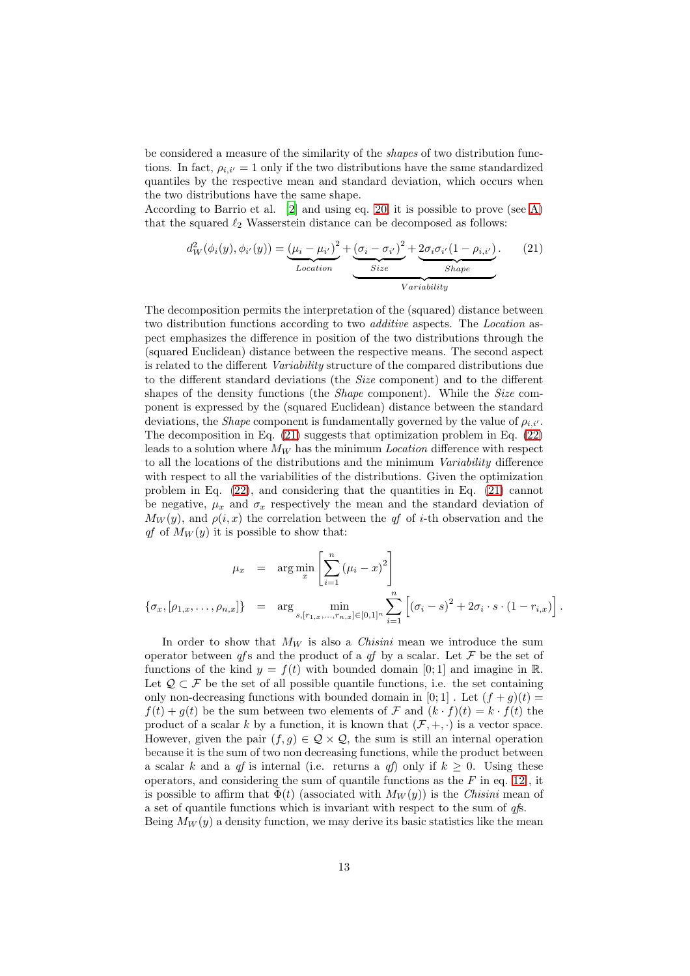be considered a measure of the similarity of the *shapes* of two distribution functions. In fact,  $\rho_{i,i'} = 1$  only if the two distributions have the same standardized quantiles by the respective mean and standard deviation, which occurs when the two distributions have the same shape.

According to Barrio et al. [\[2](#page-26-12)] and using eq. [20,](#page-11-1) it is possible to prove (see [A\)](#page-24-1) that the squared  $\ell_2$  Wasserstein distance can be decomposed as follows:

<span id="page-12-0"></span>
$$
d_W^2(\phi_i(y), \phi_{i'}(y)) = \underbrace{(\mu_i - \mu_{i'})^2}_{Location} + \underbrace{(\sigma_i - \sigma_{i'})^2}_{Size} + \underbrace{2\sigma_i\sigma_{i'}(1 - \rho_{i,i'})}_{Shape}.
$$
 (21)

The decomposition permits the interpretation of the (squared) distance between two distribution functions according to two *additive* aspects. The *Location* aspect emphasizes the difference in position of the two distributions through the (squared Euclidean) distance between the respective means. The second aspect is related to the different *Variability* structure of the compared distributions due to the different standard deviations (the *Size* component) and to the different shapes of the density functions (the *Shape* component). While the *Size* component is expressed by the (squared Euclidean) distance between the standard deviations, the *Shape* component is fundamentally governed by the value of  $\rho_{i,i'}$ . The decomposition in Eq. [\(21\)](#page-12-0) suggests that optimization problem in Eq. (22) leads to a solution where  $M_W$  has the minimum *Location* difference with respect to all the locations of the distributions and the minimum *Variability* difference with respect to all the variabilities of the distributions. Given the optimization problem in Eq.  $(22)$ , and considering that the quantities in Eq.  $(21)$  cannot be negative,  $\mu_x$  and  $\sigma_x$  respectively the mean and the standard deviation of  $M_W(y)$ , and  $\rho(i, x)$  the correlation between the *qf* of *i*-th observation and the *qf* of  $M_W(y)$  it is possible to show that:

$$
\mu_x = \arg \min_x \left[ \sum_{i=1}^n (\mu_i - x)^2 \right]
$$
  

$$
\{\sigma_x, [\rho_{1,x}, \dots, \rho_{n,x}]\} = \arg \min_{s, [r_{1,x}, \dots, r_{n,x}] \in [0,1]^n} \sum_{i=1}^n \left[ (\sigma_i - s)^2 + 2\sigma_i \cdot s \cdot (1 - r_{i,x}) \right]
$$

.

In order to show that  $M_W$  is also a *Chisini* mean we introduce the sum operator between  $qfs$  and the product of a  $qfs$  by a scalar. Let  $\mathcal F$  be the set of functions of the kind  $y = f(t)$  with bounded domain [0; 1] and imagine in R. Let  $\mathcal{Q} \subset \mathcal{F}$  be the set of all possible quantile functions, i.e. the set containing only non-decreasing functions with bounded domain in [0; 1]. Let  $(f+g)(t)$  =  $f(t) + g(t)$  be the sum between two elements of F and  $(k \cdot f)(t) = k \cdot f(t)$  the product of a scalar k by a function, it is known that  $(\mathcal{F}, +, \cdot)$  is a vector space. However, given the pair  $(f, g) \in \mathcal{Q} \times \mathcal{Q}$ , the sum is still an internal operation because it is the sum of two non decreasing functions, while the product between a scalar k and a *qf* is internal (i.e. returns a *qf*) only if  $k \geq 0$ . Using these operators, and considering the sum of quantile functions as the  $F$  in eq. [12](#page-8-0), it is possible to affirm that  $\bar{\Phi}(t)$  (associated with  $M_W(y)$ ) is the *Chisini* mean of a set of quantile functions which is invariant with respect to the sum of *qf*s. Being  $M_W(y)$  a density function, we may derive its basic statistics like the mean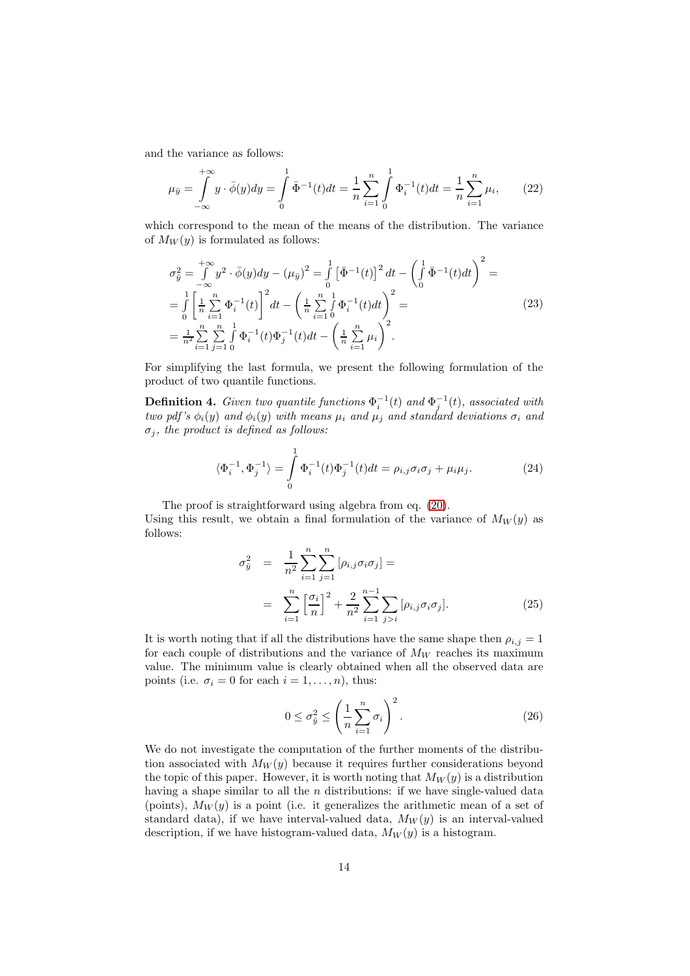and the variance as follows:

$$
\mu_{\bar{y}} = \int_{-\infty}^{+\infty} y \cdot \bar{\phi}(y) dy = \int_{0}^{1} \bar{\Phi}^{-1}(t) dt = \frac{1}{n} \sum_{i=1}^{n} \int_{0}^{1} \Phi_{i}^{-1}(t) dt = \frac{1}{n} \sum_{i=1}^{n} \mu_{i}, \qquad (22)
$$

which correspond to the mean of the means of the distribution. The variance of  $M_W(y)$  is formulated as follows:

$$
\sigma_{\bar{y}}^{2} = \int_{-\infty}^{+\infty} y^{2} \cdot \bar{\phi}(y) dy - (\mu_{\bar{y}})^{2} = \int_{0}^{1} \left[ \bar{\Phi}^{-1}(t) \right]^{2} dt - \left( \int_{0}^{1} \bar{\Phi}^{-1}(t) dt \right)^{2} =
$$
\n
$$
= \int_{0}^{1} \left[ \frac{1}{n} \sum_{i=1}^{n} \Phi_{i}^{-1}(t) \right]^{2} dt - \left( \frac{1}{n} \sum_{i=1}^{n} \int_{0}^{1} \Phi_{i}^{-1}(t) dt \right)^{2} =
$$
\n
$$
= \frac{1}{n^{2}} \sum_{i=1}^{n} \sum_{j=1}^{n} \int_{0}^{1} \Phi_{i}^{-1}(t) \Phi_{j}^{-1}(t) dt - \left( \frac{1}{n} \sum_{i=1}^{n} \mu_{i} \right)^{2}.
$$
\n(23)

For simplifying the last formula, we present the following formulation of the product of two quantile functions.

<span id="page-13-0"></span>**Definition 4.** Given two quantile functions  $\Phi_i^{-1}(t)$  and  $\Phi_j^{-1}(t)$ , associated with *two pdf's*  $\phi_i(y)$  *and*  $\phi_i(y)$  *with means*  $\mu_i$  *and*  $\mu_j$  *and standard deviations*  $\sigma_i$  *and*  $\sigma_j$ , the product is defined as follows:

<span id="page-13-1"></span>
$$
\langle \Phi_i^{-1}, \Phi_j^{-1} \rangle = \int_0^1 \Phi_i^{-1}(t) \Phi_j^{-1}(t) dt = \rho_{i,j} \sigma_i \sigma_j + \mu_i \mu_j.
$$
 (24)

The proof is straightforward using algebra from eq. [\(20\)](#page-11-1).

Using this result, we obtain a final formulation of the variance of  $M_W(y)$  as follows:

$$
\sigma_{\bar{y}}^2 = \frac{1}{n^2} \sum_{i=1}^n \sum_{j=1}^n [\rho_{i,j} \sigma_i \sigma_j] =
$$
\n
$$
= \sum_{i=1}^n \left[ \frac{\sigma_i}{n} \right]^2 + \frac{2}{n^2} \sum_{i=1}^{n-1} \sum_{j>i} [\rho_{i,j} \sigma_i \sigma_j].
$$
\n(25)

It is worth noting that if all the distributions have the same shape then  $\rho_{i,j} = 1$ for each couple of distributions and the variance of  $M_W$  reaches its maximum value. The minimum value is clearly obtained when all the observed data are points (i.e.  $\sigma_i = 0$  for each  $i = 1, \ldots, n$ ), thus:

$$
0 \le \sigma_{\bar{y}}^2 \le \left(\frac{1}{n}\sum_{i=1}^n \sigma_i\right)^2.
$$
 (26)

We do not investigate the computation of the further moments of the distribution associated with  $M_W(y)$  because it requires further considerations beyond the topic of this paper. However, it is worth noting that  $M_W(y)$  is a distribution having a shape similar to all the  $n$  distributions: if we have single-valued data (points),  $M_W(y)$  is a point (i.e. it generalizes the arithmetic mean of a set of standard data), if we have interval-valued data,  $M_W(y)$  is an interval-valued description, if we have histogram-valued data,  $M_W(y)$  is a histogram.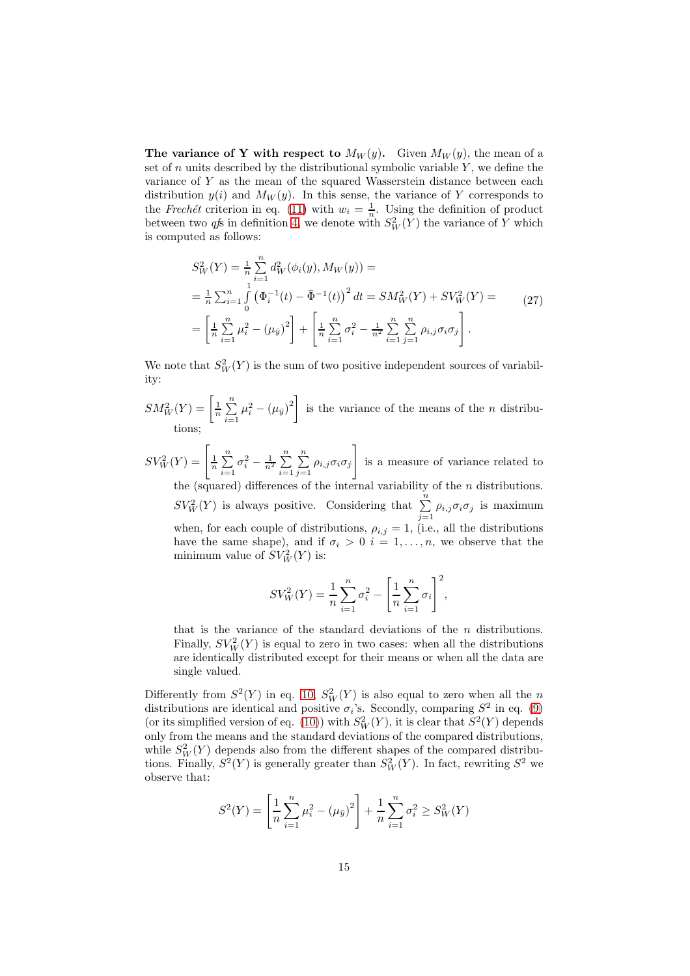The variance of Y with respect to  $M_W(y)$ . Given  $M_W(y)$ , the mean of a set of n units described by the distributional symbolic variable  $Y$ , we define the variance of  $Y$  as the mean of the squared Wasserstein distance between each distribution  $y(i)$  and  $M_W(y)$ . In this sense, the variance of Y corresponds to the *Frechét* criterion in eq. [\(11\)](#page-8-1) with  $w_i = \frac{1}{n}$ . Using the definition of product between two *qfs* in definition [4,](#page-13-0) we denote with  $S_W^2(Y)$  the variance of Y which is computed as follows:

$$
S_W^2(Y) = \frac{1}{n} \sum_{i=1}^n d_W^2(\phi_i(y), M_W(y)) =
$$
  
=  $\frac{1}{n} \sum_{i=1}^n \int_0^1 (\Phi_i^{-1}(t) - \bar{\Phi}^{-1}(t))^2 dt = SM_W^2(Y) + SV_W^2(Y) =$   
=  $\left[ \frac{1}{n} \sum_{i=1}^n \mu_i^2 - (\mu_{\bar{y}})^2 \right] + \left[ \frac{1}{n} \sum_{i=1}^n \sigma_i^2 - \frac{1}{n^2} \sum_{i=1}^n \sum_{j=1}^n \rho_{i,j} \sigma_i \sigma_j \right].$  (27)

We note that  $S_W^2(Y)$  is the sum of two positive independent sources of variability:

- $SM_W^2(Y) = \left[\frac{1}{n}\sum_{n=1}^{n}$  $i=1$  $\mu_i^2 - (\mu_{\bar{y}})^2$  is the variance of the means of the *n* distributions;
- $SV_W^2(Y) = \left[\frac{1}{n}\sum_{n=1}^{n}$  $i=1$  $\sigma_i^2 - \frac{1}{n^2} \sum_{i=1}^n$  $i=1$  $\sum_{i=1}^{n}$  $\sum_{j=1} \rho_{i,j} \sigma_i \sigma_j$ 1 is a measure of variance related to the (squared) differences of the internal variability of the  $n$  distributions.  $SV_W^2(Y)$  is always positive. Considering that  $\sum_{j=1}^n \rho_{i,j} \sigma_i \sigma_j$  is maximum when, for each couple of distributions,  $\rho_{i,j} = 1$ , (i.e., all the distributions have the same shape), and if  $\sigma_i > 0$   $i = 1, \ldots, n$ , we observe that the minimum value of  $SV_W^2(Y)$  is:

$$
SV_W^2(Y) = \frac{1}{n} \sum_{i=1}^n \sigma_i^2 - \left[ \frac{1}{n} \sum_{i=1}^n \sigma_i \right]^2,
$$

that is the variance of the standard deviations of the  $n$  distributions. Finally,  $SV_W^2(Y)$  is equal to zero in two cases: when all the distributions are identically distributed except for their means or when all the data are single valued.

Differently from  $S^2(Y)$  in eq. [10,](#page-7-0)  $S_W^2(Y)$  is also equal to zero when all the n distributions are identical and positive  $\sigma_i$ 's. Secondly, comparing  $S^2$  in eq. [\(9\)](#page-6-1) (or its simplified version of eq. [\(10\)](#page-7-0)) with  $S_W^2(Y)$ , it is clear that  $S^2(Y)$  depends only from the means and the standard deviations of the compared distributions, while  $S_W^2(Y)$  depends also from the different shapes of the compared distributions. Finally,  $S^2(Y)$  is generally greater than  $S_W^2(Y)$ . In fact, rewriting  $S^2$  we observe that:

$$
S^{2}(Y) = \left[\frac{1}{n}\sum_{i=1}^{n}\mu_{i}^{2} - (\mu_{\bar{y}})^{2}\right] + \frac{1}{n}\sum_{i=1}^{n}\sigma_{i}^{2} \geq S_{W}^{2}(Y)
$$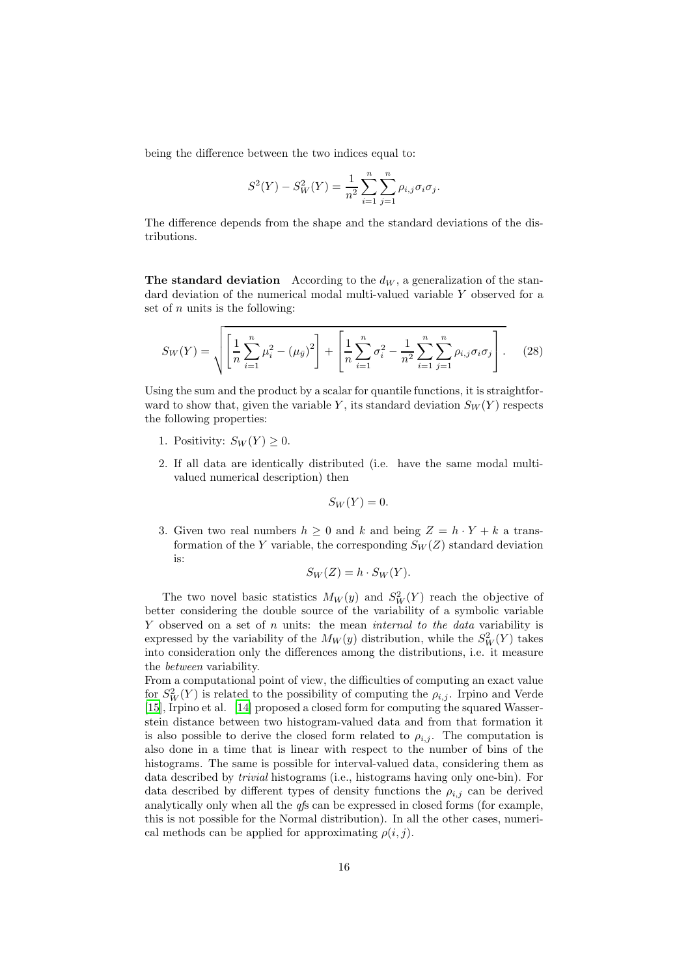being the difference between the two indices equal to:

$$
S^{2}(Y) - S_{W}^{2}(Y) = \frac{1}{n^{2}} \sum_{i=1}^{n} \sum_{j=1}^{n} \rho_{i,j} \sigma_{i} \sigma_{j}.
$$

The difference depends from the shape and the standard deviations of the distributions.

The standard deviation According to the  $d_W$ , a generalization of the standard deviation of the numerical modal multi-valued variable Y observed for a set of  $n$  units is the following:

$$
S_W(Y) = \sqrt{\left[\frac{1}{n}\sum_{i=1}^n \mu_i^2 - (\mu_{ij})^2\right] + \left[\frac{1}{n}\sum_{i=1}^n \sigma_i^2 - \frac{1}{n^2}\sum_{i=1}^n \sum_{j=1}^n \rho_{i,j}\sigma_i\sigma_j\right]}.
$$
 (28)

Using the sum and the product by a scalar for quantile functions, it is straightforward to show that, given the variable Y, its standard deviation  $S_W(Y)$  respects the following properties:

- 1. Positivity:  $S_W(Y) \geq 0$ .
- 2. If all data are identically distributed (i.e. have the same modal multivalued numerical description) then

$$
S_W(Y) = 0.
$$

3. Given two real numbers  $h \geq 0$  and k and being  $Z = h \cdot Y + k$  a transformation of the Y variable, the corresponding  $S_W(Z)$  standard deviation is:

$$
S_W(Z) = h \cdot S_W(Y).
$$

The two novel basic statistics  $M_W(y)$  and  $S_W^2(Y)$  reach the objective of better considering the double source of the variability of a symbolic variable Y observed on a set of n units: the mean *internal to the data* variability is expressed by the variability of the  $M_W(y)$  distribution, while the  $S_W^2(Y)$  takes into consideration only the differences among the distributions, i.e. it measure the *between* variability.

From a computational point of view, the difficulties of computing an exact value for  $S_W^2(Y)$  is related to the possibility of computing the  $\rho_{i,j}$ . Irpino and Verde [\[15\]](#page-27-7), Irpino et al. [\[14\]](#page-26-13) proposed a closed form for computing the squared Wasserstein distance between two histogram-valued data and from that formation it is also possible to derive the closed form related to  $\rho_{i,j}$ . The computation is also done in a time that is linear with respect to the number of bins of the histograms. The same is possible for interval-valued data, considering them as data described by *trivial* histograms (i.e., histograms having only one-bin). For data described by different types of density functions the  $\rho_{i,j}$  can be derived analytically only when all the *qf*s can be expressed in closed forms (for example, this is not possible for the Normal distribution). In all the other cases, numerical methods can be applied for approximating  $\rho(i, j)$ .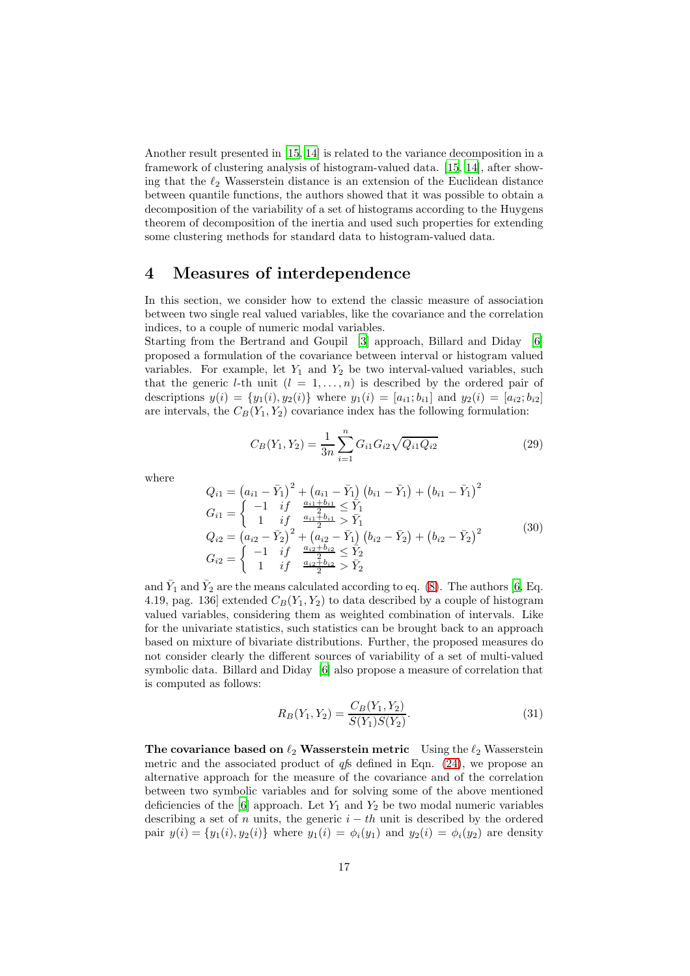Another result presented in [\[15](#page-27-7), [14\]](#page-26-13) is related to the variance decomposition in a framework of clustering analysis of histogram-valued data. [\[15,](#page-27-7) [14\]](#page-26-13), after showing that the  $\ell_2$  Wasserstein distance is an extension of the Euclidean distance between quantile functions, the authors showed that it was possible to obtain a decomposition of the variability of a set of histograms according to the Huygens theorem of decomposition of the inertia and used such properties for extending some clustering methods for standard data to histogram-valued data.

#### <span id="page-16-0"></span>4 Measures of interdependence

In this section, we consider how to extend the classic measure of association between two single real valued variables, like the covariance and the correlation indices, to a couple of numeric modal variables.

Starting from the Bertrand and Goupil [\[3\]](#page-26-4) approach, Billard and Diday [\[6\]](#page-26-2) proposed a formulation of the covariance between interval or histogram valued variables. For example, let  $Y_1$  and  $Y_2$  be two interval-valued variables, such that the generic *l*-th unit  $(l = 1, ..., n)$  is described by the ordered pair of descriptions  $y(i) = \{y_1(i), y_2(i)\}\$  where  $y_1(i) = [a_{i1}; b_{i1}]$  and  $y_2(i) = [a_{i2}; b_{i2}]$ are intervals, the  $C_B(Y_1, Y_2)$  covariance index has the following formulation:

$$
C_B(Y_1, Y_2) = \frac{1}{3n} \sum_{i=1}^{n} G_{i1} G_{i2} \sqrt{Q_{i1} Q_{i2}} \tag{29}
$$

where

$$
Q_{i1} = (a_{i1} - \bar{Y}_1)^2 + (a_{i1} - \bar{Y}_1)(b_{i1} - \bar{Y}_1) + (b_{i1} - \bar{Y}_1)^2
$$
  
\n
$$
G_{i1} = \begin{cases}\n-1 & if & \frac{a_{i1} + b_{i1}}{2} \le \bar{Y}_1 \\
1 & if & \frac{a_{i1} + b_{i1}}{2} > \bar{Y}_1\n\end{cases}
$$
  
\n
$$
Q_{i2} = (a_{i2} - \bar{Y}_2)^2 + (a_{i2} - \bar{Y}_1)(b_{i2} - \bar{Y}_2) + (b_{i2} - \bar{Y}_2)^2
$$
  
\n
$$
G_{i2} = \begin{cases}\n-1 & if & \frac{a_{i2} + b_{i2}}{2} \le \bar{Y}_2 \\
1 & if & \frac{a_{i2} + b_{i2}}{2} > \bar{Y}_2\n\end{cases}
$$
\n(30)

and  $\bar{Y}_1$  and  $\bar{Y}_2$  are the means calculated according to eq. [\(8\)](#page-6-2). The authors [\[6](#page-26-2), Eq. 4.19, pag. 136] extended  $C_B(Y_1, Y_2)$  to data described by a couple of histogram valued variables, considering them as weighted combination of intervals. Like for the univariate statistics, such statistics can be brought back to an approach based on mixture of bivariate distributions. Further, the proposed measures do not consider clearly the different sources of variability of a set of multi-valued symbolic data. Billard and Diday [\[6\]](#page-26-2) also propose a measure of correlation that is computed as follows:

<span id="page-16-1"></span>
$$
R_B(Y_1, Y_2) = \frac{C_B(Y_1, Y_2)}{S(Y_1)S(Y_2)}.\t(31)
$$

The covariance based on  $\ell_2$  Wasserstein metric Using the  $\ell_2$  Wasserstein metric and the associated product of *qf*s defined in Eqn. [\(24\)](#page-13-1), we propose an alternative approach for the measure of the covariance and of the correlation between two symbolic variables and for solving some of the above mentioned deficiencies of the  $[6]$  approach. Let  $Y_1$  and  $Y_2$  be two modal numeric variables describing a set of n units, the generic  $i - th$  unit is described by the ordered pair  $y(i) = \{y_1(i), y_2(i)\}\$  where  $y_1(i) = \phi_i(y_1)\$  and  $y_2(i) = \phi_i(y_2)\$  are density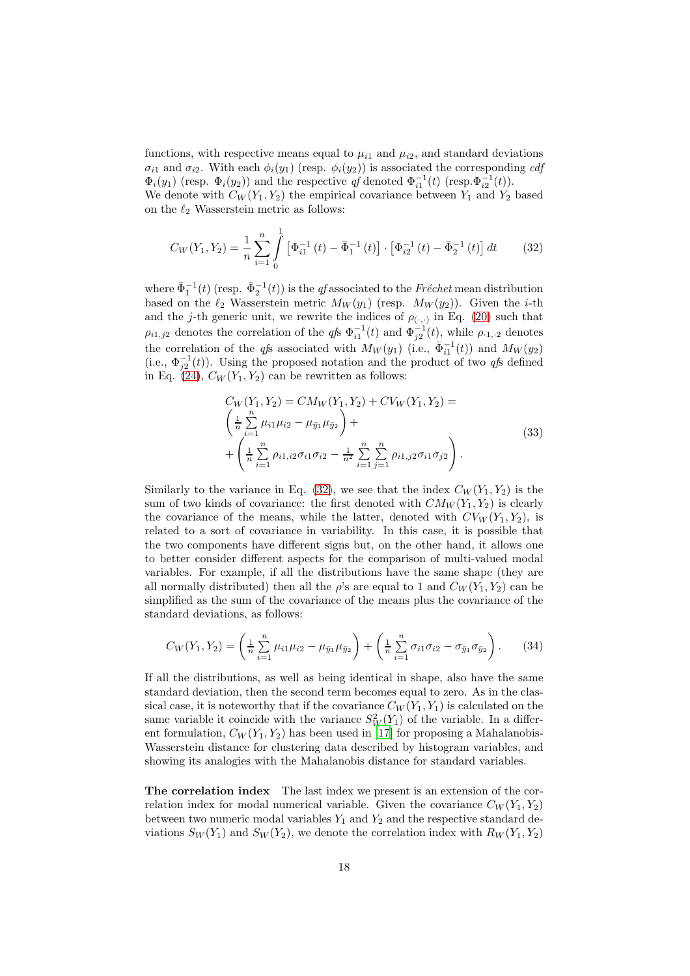functions, with respective means equal to  $\mu_{i1}$  and  $\mu_{i2}$ , and standard deviations  $\sigma_{i1}$  and  $\sigma_{i2}$ . With each  $\phi_i(y_1)$  (resp.  $\phi_i(y_2)$ ) is associated the corresponding *cdf*  $\Phi_i(y_1)$  (resp.  $\Phi_i(y_2)$ ) and the respective *qf* denoted  $\Phi_{i1}^{-1}(t)$  (resp.  $\Phi_{i2}^{-1}(t)$ ).

We denote with  $C_W(Y_1, Y_2)$  the empirical covariance between  $Y_1$  and  $Y_2$  based on the  $\ell_2$  Wasserstein metric as follows:

<span id="page-17-0"></span>
$$
C_W(Y_1, Y_2) = \frac{1}{n} \sum_{i=1}^n \int_0^1 \left[ \Phi_{i1}^{-1}(t) - \bar{\Phi}_1^{-1}(t) \right] \cdot \left[ \Phi_{i2}^{-1}(t) - \bar{\Phi}_2^{-1}(t) \right] dt \tag{32}
$$

where  $\bar{\Phi}_1^{-1}(t)$  (resp.  $\bar{\Phi}_2^{-1}(t)$ ) is the *qf* associated to the *Fréchet* mean distribution based on the  $\ell_2$  Wasserstein metric  $M_W(y_1)$  (resp.  $M_W(y_2)$ ). Given the *i*-th and the j-th generic unit, we rewrite the indices of  $\rho_{(\cdot,\cdot)}$  in Eq. [\(20\)](#page-11-1) such that  $\rho_{i1,j2}$  denotes the correlation of the  $q f$ s  $\Phi_{i1}^{-1}(t)$  and  $\Phi_{j2}^{-1}(t)$ , while  $\rho_{\cdot1,j2}$  denotes the correlation of the *qfs* associated with  $M_W(y_1)$  (i.e.,  $\bar{\Phi}_{i1}^{-1}(t)$ ) and  $M_W(y_2)$ (i.e.,  $\Phi_{j2}^{-1}(t)$ ). Using the proposed notation and the product of two *qfs* defined in Eq. [\(24\)](#page-13-1),  $C_W(Y_1, Y_2)$  can be rewritten as follows:

$$
C_W(Y_1, Y_2) = CM_W(Y_1, Y_2) + CV_W(Y_1, Y_2) =
$$
\n
$$
\left(\frac{1}{n}\sum_{i=1}^n \mu_{i1}\mu_{i2} - \mu_{\bar{y}_1}\mu_{\bar{y}_2}\right) +
$$
\n
$$
+\left(\frac{1}{n}\sum_{i=1}^n \rho_{i1, i2}\sigma_{i1}\sigma_{i2} - \frac{1}{n^2}\sum_{i=1}^n \sum_{j=1}^n \rho_{i1, j2}\sigma_{i1}\sigma_{j2}\right).
$$
\n(33)

Similarly to the variance in Eq. [\(32\)](#page-17-0), we see that the index  $C_W(Y_1, Y_2)$  is the sum of two kinds of covariance: the first denoted with  $CM_W(Y_1, Y_2)$  is clearly the covariance of the means, while the latter, denoted with  $CV_w(Y_1, Y_2)$ , is related to a sort of covariance in variability. In this case, it is possible that the two components have different signs but, on the other hand, it allows one to better consider different aspects for the comparison of multi-valued modal variables. For example, if all the distributions have the same shape (they are all normally distributed) then all the  $\rho$ 's are equal to 1 and  $C_W(Y_1, Y_2)$  can be simplified as the sum of the covariance of the means plus the covariance of the standard deviations, as follows:

$$
C_W(Y_1, Y_2) = \left(\frac{1}{n}\sum_{i=1}^n \mu_{i1}\mu_{i2} - \mu_{\bar{y}_1}\mu_{\bar{y}_2}\right) + \left(\frac{1}{n}\sum_{i=1}^n \sigma_{i1}\sigma_{i2} - \sigma_{\bar{y}_1}\sigma_{\bar{y}_2}\right). \tag{34}
$$

If all the distributions, as well as being identical in shape, also have the same standard deviation, then the second term becomes equal to zero. As in the classical case, it is noteworthy that if the covariance  $C_W(Y_1, Y_1)$  is calculated on the same variable it coincide with the variance  $S_W^2(Y_1)$  of the variable. In a different formulation,  $C_W(Y_1, Y_2)$  has been used in [\[17](#page-27-8)] for proposing a Mahalanobis-Wasserstein distance for clustering data described by histogram variables, and showing its analogies with the Mahalanobis distance for standard variables.

The correlation index The last index we present is an extension of the correlation index for modal numerical variable. Given the covariance  $C_W(Y_1, Y_2)$ between two numeric modal variables  $Y_1$  and  $Y_2$  and the respective standard deviations  $S_W(Y_1)$  and  $S_W(Y_2)$ , we denote the correlation index with  $R_W(Y_1, Y_2)$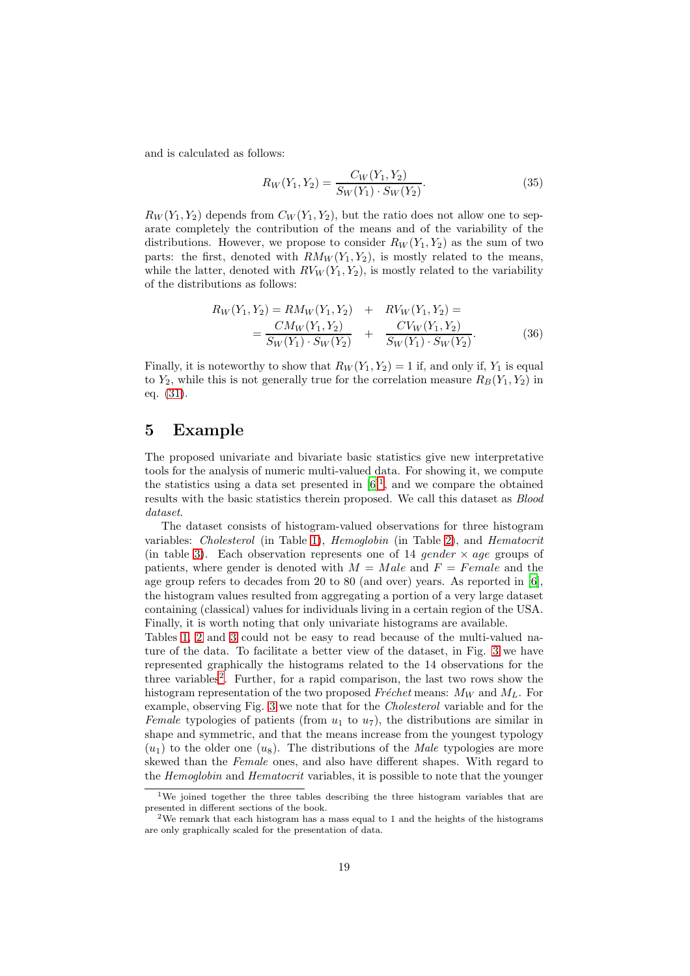and is calculated as follows:

$$
R_W(Y_1, Y_2) = \frac{C_W(Y_1, Y_2)}{S_W(Y_1) \cdot S_W(Y_2)}.
$$
\n(35)

 $R_W(Y_1, Y_2)$  depends from  $C_W(Y_1, Y_2)$ , but the ratio does not allow one to separate completely the contribution of the means and of the variability of the distributions. However, we propose to consider  $R_W(Y_1, Y_2)$  as the sum of two parts: the first, denoted with  $RM_W(Y_1, Y_2)$ , is mostly related to the means, while the latter, denoted with  $RV_W(Y_1, Y_2)$ , is mostly related to the variability of the distributions as follows:

$$
R_W(Y_1, Y_2) = RM_W(Y_1, Y_2) + RV_W(Y_1, Y_2) =
$$
  
= 
$$
\frac{CM_W(Y_1, Y_2)}{S_W(Y_1) \cdot S_W(Y_2)} + \frac{CV_W(Y_1, Y_2)}{S_W(Y_1) \cdot S_W(Y_2)}.
$$
 (36)

Finally, it is noteworthy to show that  $R_W(Y_1, Y_2) = 1$  if, and only if,  $Y_1$  is equal to  $Y_2$ , while this is not generally true for the correlation measure  $R_B(Y_1, Y_2)$  in eq. [\(31\)](#page-16-1).

#### <span id="page-18-0"></span>5 Example

The proposed univariate and bivariate basic statistics give new interpretative tools for the analysis of numeric multi-valued data. For showing it, we compute the statistics using a data set presented in  $[6]^1$  $[6]^1$ , and we compare the obtained results with the basic statistics therein proposed. We call this dataset as *Blood dataset*.

The dataset consists of histogram-valued observations for three histogram variables: *Cholesterol* (in Table [1\)](#page-19-0), *Hemoglobin* (in Table [2\)](#page-20-0), and *Hematocrit* (in table [3\)](#page-20-1). Each observation represents one of 14 gender  $\times$  age groups of patients, where gender is denoted with  $M = Male$  and  $F = Female$  and the age group refers to decades from 20 to 80 (and over) years. As reported in [\[6\]](#page-26-2), the histogram values resulted from aggregating a portion of a very large dataset containing (classical) values for individuals living in a certain region of the USA. Finally, it is worth noting that only univariate histograms are available.

Tables [1,](#page-19-0) [2](#page-20-0) and [3](#page-20-1) could not be easy to read because of the multi-valued nature of the data. To facilitate a better view of the dataset, in Fig. [3](#page-19-1) we have represented graphically the histograms related to the 14 observations for the three variables<sup>[2](#page-18-2)</sup>. Further, for a rapid comparison, the last two rows show the histogram representation of the two proposed  $Frechet$  means:  $M_W$  and  $M_L$ . For example, observing Fig. [3](#page-19-1) we note that for the *Cholesterol* variable and for the *Female* typologies of patients (from  $u_1$  to  $u_7$ ), the distributions are similar in shape and symmetric, and that the means increase from the youngest typology  $(u_1)$  to the older one  $(u_8)$ . The distributions of the *Male* typologies are more skewed than the *Female* ones, and also have different shapes. With regard to the *Hemoglobin* and *Hematocrit* variables, it is possible to note that the younger

<span id="page-18-1"></span><sup>&</sup>lt;sup>1</sup>We joined together the three tables describing the three histogram variables that are presented in different sections of the book.

<span id="page-18-2"></span><sup>2</sup>We remark that each histogram has a mass equal to 1 and the heights of the histograms are only graphically scaled for the presentation of data.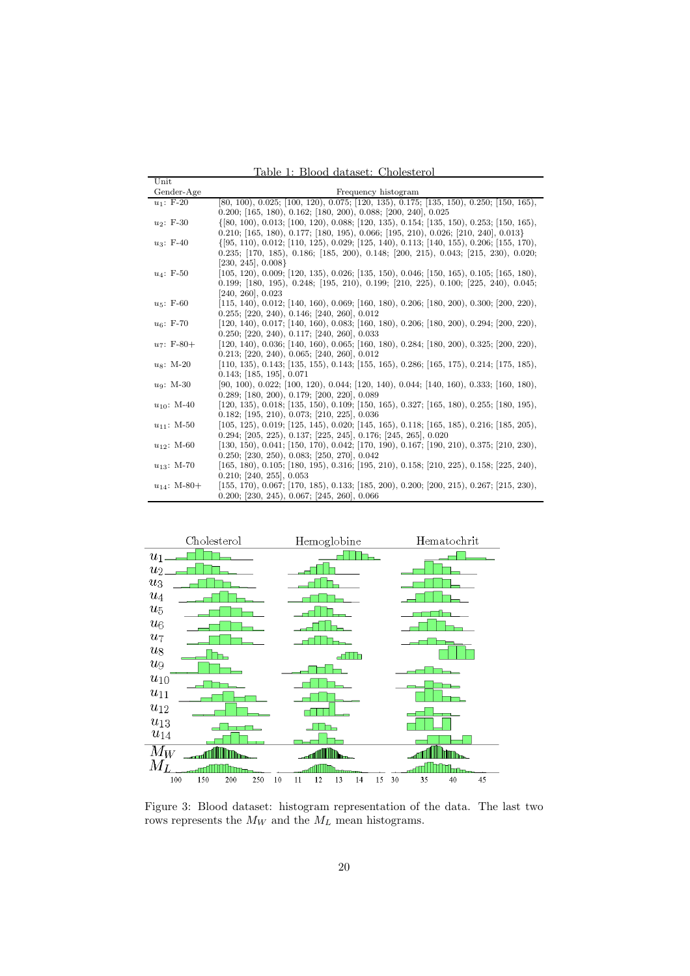<span id="page-19-0"></span>Table 1: Blood dataset: Cholesterol

| $\operatorname{Unit}$ |                                                                                                   |
|-----------------------|---------------------------------------------------------------------------------------------------|
| Gender-Age            | Frequency histogram                                                                               |
| $u_1$ : F-20          | $[80, 100), 0.025;$ $[100, 120), 0.075;$ $[120, 135), 0.175;$ $[135, 150), 0.250;$ $[150, 165),$  |
|                       | $0.200;$ [165, 180), $0.162;$ [180, 200), $0.088;$ [200, 240], $0.025$                            |
| $u_2$ : F-30          | $\{ [ 80, 100), 0.013; [ 100, 120), 0.088; [ 120, 135), 0.154; [ 135, 150), 0.253; [ 150, 165),$  |
|                       | $0.210;$ [165, 180), $0.177;$ [180, 195), $0.066;$ [195, 210), $0.026;$ [210, 240], $0.013\}$     |
| $u_3$ : F-40          | $\{ [ 95, 110, 0.012, [ 110, 125), 0.029, [ 125, 140), 0.113, [ 140, 155), 0.206, [ 155, 170),$   |
|                       | $0.235;$ [170, 185), $0.186;$ [185, 200), $0.148;$ [200, 215), $0.043;$ [215, 230), $0.020;$      |
|                       | $[230, 245], 0.008\}$                                                                             |
| $u_4$ : F-50          | $(105, 120), 0.009;$ $(120, 135), 0.026;$ $(135, 150), 0.046;$ $(150, 165), 0.105;$ $(165, 180),$ |
|                       | $0.199;$ [180, 195), $0.248;$ [195, 210), $0.199;$ [210, 225), $0.100;$ [225, 240), $0.045;$      |
|                       | [240, 260], 0.023                                                                                 |
| $u_5$ : F-60          | $[115, 140), 0.012;$ $[140, 160), 0.069;$ $[160, 180), 0.206;$ $[180, 200), 0.300;$ $[200, 220),$ |
|                       | $0.255$ ; [220, 240), $0.146$ ; [240, 260], $0.012$                                               |
| $u_6$ : F-70          | $[120, 140), 0.017; [140, 160), 0.083; [160, 180), 0.206; [180, 200), 0.294; [200, 220),$         |
|                       | $0.250$ ; [220, 240), $0.117$ ; [240, 260], $0.033$                                               |
| $u_7$ : F-80+         | $[120, 140), 0.036; [140, 160), 0.065; [160, 180), 0.284; [180, 200), 0.325; [200, 220),$         |
|                       | $0.213$ ; [220, 240), 0.065; [240, 260], 0.012                                                    |
| $u_8$ : M-20          | $[110, 135), 0.143;$ $[135, 155), 0.143;$ $[155, 165), 0.286;$ $[165, 175), 0.214;$ $[175, 185),$ |
|                       | $0.143;$ [185, 195], $0.071$                                                                      |
| $u_9: M-30$           | $[90, 100), 0.022;$ $[100, 120), 0.044;$ $[120, 140), 0.044;$ $[140, 160), 0.333;$ $[160, 180),$  |
|                       | $0.289;$ [180, 200), $0.179;$ [200, 220], $0.089$                                                 |
| $u_{10}$ : M-40       | $[120, 135), 0.018;$ $[135, 150), 0.109;$ $[150, 165), 0.327;$ $[165, 180), 0.255;$ $[180, 195),$ |
|                       | $0.182;$ [195, 210), $0.073;$ [210, 225], $0.036$                                                 |
| $u_{11}$ : M-50       | $(105, 125), 0.019;$ $(125, 145), 0.020;$ $(145, 165), 0.118;$ $(165, 185), 0.216;$ $(185, 205),$ |
|                       | $0.294;$ [205, 225), $0.137;$ [225, 245], $0.176;$ [245, 265], $0.020$                            |
| $u_{12}$ : M-60       | $[130, 150), 0.041; [150, 170), 0.042; [170, 190), 0.167; [190, 210), 0.375; [210, 230),$         |
|                       | $0.250;$ [230, 250), $0.083;$ [250, 270], $0.042$                                                 |
| $u_{13}$ : M-70       | $[165, 180), 0.105;$ $[180, 195), 0.316;$ $[195, 210), 0.158;$ $[210, 225), 0.158;$ $[225, 240),$ |
|                       | $0.210;$ [240, 255], 0.053                                                                        |
| $u_{14}$ : M-80+      | $[155, 170), 0.067;$ $[170, 185), 0.133;$ $[185, 200), 0.200;$ $[200, 215), 0.267;$ $[215, 230),$ |
|                       | $0.200;$ [230, 245), $0.067;$ [245, 260], $0.066$                                                 |



<span id="page-19-1"></span>Figure 3: Blood dataset: histogram representation of the data. The last two rows represents the  $M_W$  and the  $M_L$  mean histograms.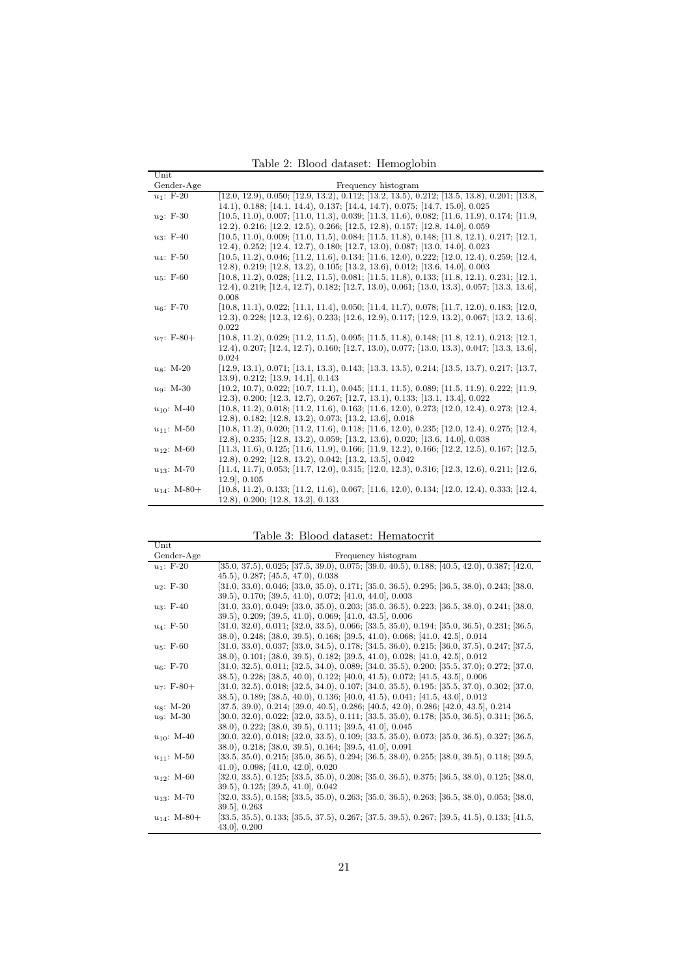<span id="page-20-0"></span>Table 2: Blood dataset: Hemoglobin

| Unit             |                                                                                                                    |
|------------------|--------------------------------------------------------------------------------------------------------------------|
| Gender-Age       | Frequency histogram                                                                                                |
| $u_1$ : F-20     | $[12.0, 12.9), 0.050;$ $[12.9, 13.2), 0.112;$ $[13.2, 13.5), 0.212;$ $[13.5, 13.8), 0.201;$ $[13.8,$               |
|                  | $14.1$ , 0.188; [14.1, 14.4), 0.137; [14.4, 14.7), 0.075; [14.7, 15.0], 0.025                                      |
| $u_2$ : F-30     | $(10.5, 11.0), 0.007;$ $(11.0, 11.3), 0.039;$ $(11.3, 11.6), 0.082;$ $(11.6, 11.9), 0.174;$ $(11.9,$               |
|                  | 12.2), 0.216; [12.2, 12.5), 0.266; [12.5, 12.8), 0.157; [12.8, 14.0], 0.059                                        |
| $u_3$ : F-40     | $(10.5, 11.0), 0.009;$ $(11.0, 11.5), 0.084;$ $(11.5, 11.8), 0.148;$ $(11.8, 12.1), 0.217;$ $(12.1, 12.1), 0.009;$ |
|                  | $12.4$ , 0.252; [12.4, 12.7), 0.180; [12.7, 13.0), 0.087; [13.0, 14.0], 0.023                                      |
| $u_4$ : F-50     | $[10.5, 11.2), 0.046;$ $[11.2, 11.6), 0.134;$ $[11.6, 12.0), 0.222;$ $[12.0, 12.4), 0.259;$ $[12.4,$               |
|                  | 12.8), 0.219; [12.8, 13.2), 0.105; [13.2, 13.6), 0.012; [13.6, 14.0], 0.003                                        |
| $u_5$ : F-60     | $(10.8, 11.2), 0.028;$ $(11.2, 11.5), 0.081;$ $(11.5, 11.8), 0.133;$ $(11.8, 12.1), 0.231;$ $(12.1,$               |
|                  | $12.4$ , 0.219; [12.4, 12.7), 0.182; [12.7, 13.0), 0.061; [13.0, 13.3), 0.057; [13.3, 13.6],                       |
|                  | 0.008                                                                                                              |
| $u_6$ : F-70     | $(10.8, 11.1), 0.022;$ $(11.1, 11.4), 0.050;$ $(11.4, 11.7), 0.078;$ $(11.7, 12.0), 0.183;$ $(12.0,$               |
|                  | $(12.3), 0.228; [12.3, 12.6), 0.233; [12.6, 12.9), 0.117; [12.9, 13.2), 0.067; [13.2, 13.6],$                      |
|                  | 0.022                                                                                                              |
| $u_7$ : F-80+    | $(10.8, 11.2), 0.029;$ $(11.2, 11.5), 0.095;$ $(11.5, 11.8), 0.148;$ $(11.8, 12.1), 0.213;$ $(12.1, 12.1), 0.021;$ |
|                  | $12.4$ , 0.207; [12.4, 12.7), 0.160; [12.7, 13.0), 0.077; [13.0, 13.3), 0.047; [13.3, 13.6],                       |
|                  | 0.024                                                                                                              |
| $us: M-20$       | $(12.9, 13.1), 0.071;$ $(13.1, 13.3), 0.143;$ $(13.3, 13.5), 0.214;$ $(13.5, 13.7), 0.217;$ $(13.7, 13.7), 0.217;$ |
|                  | (13.9), 0.212; [13.9, 14.1], 0.143                                                                                 |
| $u_9: M-30$      | $(10.2, 10.7), 0.022;$ $(10.7, 11.1), 0.045;$ $(11.1, 11.5), 0.089;$ $(11.5, 11.9), 0.222;$ $(11.9,$               |
|                  | 12.3), 0.200; [12.3, 12.7), 0.267; [12.7, 13.1), 0.133; [13.1, 13.4], 0.022                                        |
| $u_{10}$ : M-40  | $[10.8, 11.2), 0.018;$ $[11.2, 11.6), 0.163;$ $[11.6, 12.0), 0.273;$ $[12.0, 12.4), 0.273;$ $[12.4,$               |
|                  | 12.8), 0.182; [12.8, 13.2), 0.073; [13.2, 13.6], 0.018                                                             |
| $u_{11}$ : M-50  | $[10.8, 11.2), 0.020;$ $[11.2, 11.6), 0.118;$ $[11.6, 12.0), 0.235;$ $[12.0, 12.4), 0.275;$ $[12.4,$               |
|                  | 12.8), 0.235; [12.8, 13.2), 0.059; [13.2, 13.6), 0.020; [13.6, 14.0], 0.038                                        |
| $u_{12}$ : M-60  | $[11.3, 11.6), 0.125;$ $[11.6, 11.9), 0.166;$ $[11.9, 12.2), 0.166;$ $[12.2, 12.5), 0.167;$ $[12.5,$               |
|                  | 12.8), 0.292; [12.8, 13.2), 0.042; [13.2, 13.5], 0.042                                                             |
| $u_{13}$ : M-70  | $[11.4, 11.7), 0.053;$ $[11.7, 12.0), 0.315;$ $[12.0, 12.3), 0.316;$ $[12.3, 12.6), 0.211;$ $[12.6,$               |
|                  | $12.9$ , 0.105                                                                                                     |
| $u_{14}$ : M-80+ | $[10.8, 11.2), 0.133;$ $[11.2, 11.6), 0.067;$ $[11.6, 12.0), 0.134;$ $[12.0, 12.4), 0.333;$ $[12.4,$               |
|                  | (12.8), 0.200; [12.8, 13.2], 0.133                                                                                 |

<span id="page-20-1"></span>Table 3: Blood dataset: Hematocrit

|                  | таріс ә. - тоод давазсы тісіндірсіті                                                                 |
|------------------|------------------------------------------------------------------------------------------------------|
| Unit             |                                                                                                      |
| Gender-Age       | Frequency histogram                                                                                  |
| $u_1$ : F-20     | $[35.0, 37.5), 0.025; [37.5, 39.0), 0.075; [39.0, 40.5), 0.188; [40.5, 42.0), 0.387; [42.0,$         |
|                  | (45.5), 0.287; [45.5, 47.0), 0.038                                                                   |
| $u_2$ : F-30     | $[31.0, 33.0), 0.046;$ $[33.0, 35.0), 0.171;$ $[35.0, 36.5), 0.295;$ $[36.5, 38.0), 0.243;$ $[38.0,$ |
|                  | 39.5), 0.170; [39.5, 41.0), 0.072; [41.0, 44.0], 0.003                                               |
| $u_3$ : F-40     | $[31.0, 33.0), 0.049;$ $[33.0, 35.0), 0.203;$ $[35.0, 36.5), 0.223;$ $[36.5, 38.0), 0.241;$ $[38.0,$ |
|                  | 39.5), 0.209; [39.5, 41.0), 0.069; [41.0, 43.5], 0.006                                               |
| $u_4$ : F-50     | $[31.0, 32.0), 0.011; [32.0, 33.5), 0.066; [33.5, 35.0), 0.194; [35.0, 36.5), 0.231; [36.5,$         |
|                  | 38.0), 0.248; [38.0, 39.5), 0.168; [39.5, 41.0), 0.068; [41.0, 42.5], 0.014                          |
| $u_5$ : F-60     | $[31.0, 33.0), 0.037;$ $[33.0, 34.5), 0.178;$ $[34.5, 36.0), 0.215;$ $[36.0, 37.5), 0.247;$ $[37.5,$ |
|                  | 38.0), 0.101; [38.0, 39.5), 0.182; [39.5, 41.0), 0.028; [41.0, 42.5], 0.012                          |
| $u_6$ : F-70     | $[31.0, 32.5), 0.011; [32.5, 34.0), 0.089; [34.0, 35.5), 0.200; [35.5, 37.0); 0.272; [37.0,$         |
|                  | 38.5), 0.228; [38.5, 40.0), 0.122; [40.0, 41.5), 0.072; [41.5, 43.5], 0.006                          |
| $u_7$ : F-80+    | $[31.0, 32.5), 0.018;$ $[32.5, 34.0), 0.107;$ $[34.0, 35.5), 0.195;$ $[35.5, 37.0), 0.302;$ $[37.0,$ |
|                  | 38.5), 0.189; [38.5, 40.0), 0.136; [40.0, 41.5), 0.041; [41.5, 43.0], 0.012                          |
| $us: M-20$       | $[37.5, 39.0), 0.214; [39.0, 40.5), 0.286; [40.5, 42.0), 0.286; [42.0, 43.5], 0.214$                 |
| $u_9: M-30$      | $[30.0, 32.0), 0.022; [32.0, 33.5), 0.111; [33.5, 35.0), 0.178; [35.0, 36.5), 0.311; [36.5,$         |
|                  | 38.0), 0.222; [38.0, 39.5), 0.111; [39.5, 41.0], 0.045                                               |
| $u_{10}$ : M-40  | $[30.0, 32.0), 0.018;$ $[32.0, 33.5), 0.109;$ $[33.5, 35.0), 0.073;$ $[35.0, 36.5), 0.327;$ $[36.5,$ |
|                  | 38.0), 0.218; [38.0, 39.5), 0.164; [39.5, 41.0], 0.091                                               |
| $u_{11}$ : M-50  | $[33.5, 35.0), 0.215;$ $[35.0, 36.5), 0.294;$ $[36.5, 38.0), 0.255;$ $[38.0, 39.5), 0.118;$ $[39.5,$ |
|                  | (41.0), 0.098; [41.0, 42.0], 0.020                                                                   |
| $u_{12}$ : M-60  | $[32.0, 33.5), 0.125;$ $[33.5, 35.0), 0.208;$ $[35.0, 36.5), 0.375;$ $[36.5, 38.0), 0.125;$ $[38.0,$ |
|                  | $39.5$ , 0.125; [39.5, 41.0], 0.042                                                                  |
| $u_{13}$ : M-70  | $[32.0, 33.5), 0.158;$ $[33.5, 35.0), 0.263;$ $[35.0, 36.5), 0.263;$ $[36.5, 38.0), 0.053;$ $[38.0,$ |
|                  | $39.5$ , 0.263                                                                                       |
| $u_{14}$ : M-80+ | $[33.5, 35.5), 0.133;$ $[35.5, 37.5), 0.267;$ $[37.5, 39.5), 0.267;$ $[39.5, 41.5), 0.133;$ $[41.5,$ |
|                  | 43.0, 0.200                                                                                          |
|                  |                                                                                                      |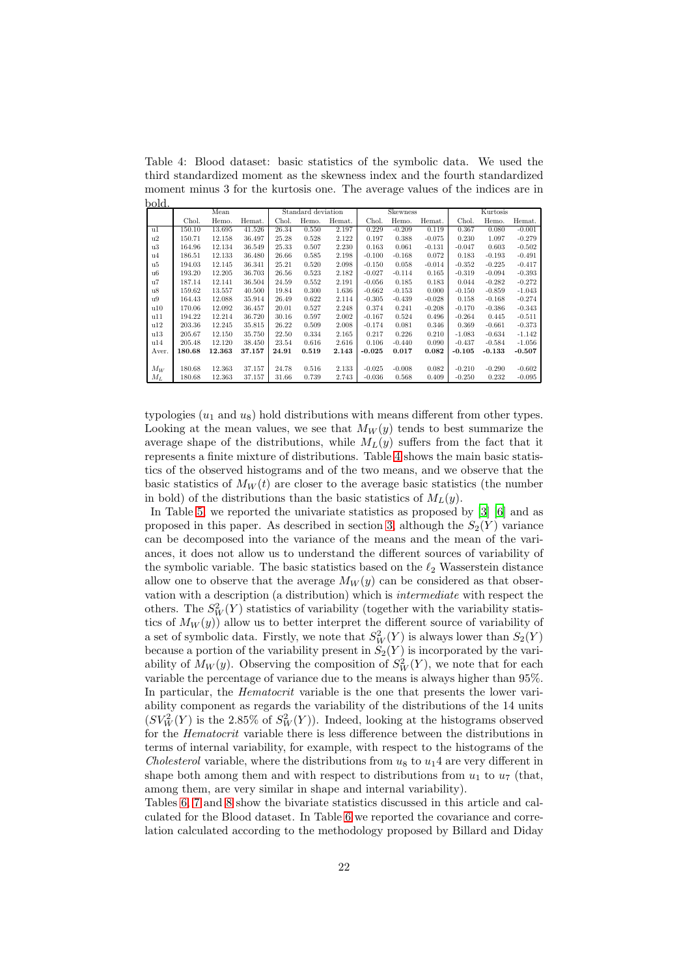<span id="page-21-0"></span>Table 4: Blood dataset: basic statistics of the symbolic data. We used the third standardized moment as the skewness index and the fourth standardized moment minus 3 for the kurtosis one. The average values of the indices are in bold.

|       | Mean   |        | Standard deviation |       | <b>Skewness</b> |        |          | Kurtosis |          |          |          |          |
|-------|--------|--------|--------------------|-------|-----------------|--------|----------|----------|----------|----------|----------|----------|
|       | Chol.  | Hemo.  | Hemat.             | Chol. | Hemo.           | Hemat. | Chol.    | Hemo.    | Hemat.   | Chol.    | Hemo.    | Hemat.   |
| u1    | 150.10 | 13.695 | 41.526             | 26.34 | 0.550           | 2.197  | 0.229    | $-0.209$ | 0.119    | 0.367    | 0.080    | $-0.001$ |
| u2    | 150.71 | 12.158 | 36.497             | 25.28 | 0.528           | 2.122  | 0.197    | 0.388    | $-0.075$ | 0.230    | 1.097    | $-0.279$ |
| u3    | 164.96 | 12.134 | 36.549             | 25.33 | 0.507           | 2.230  | 0.163    | 0.061    | $-0.131$ | $-0.047$ | 0.603    | $-0.502$ |
| u4    | 186.51 | 12.133 | 36.480             | 26.66 | 0.585           | 2.198  | $-0.100$ | $-0.168$ | 0.072    | 0.183    | $-0.193$ | $-0.491$ |
| u5    | 194.03 | 12.145 | 36.341             | 25.21 | 0.520           | 2.098  | $-0.150$ | 0.058    | $-0.014$ | $-0.352$ | $-0.225$ | $-0.417$ |
| u6    | 193.20 | 12.205 | 36.703             | 26.56 | 0.523           | 2.182  | $-0.027$ | $-0.114$ | 0.165    | $-0.319$ | $-0.094$ | $-0.393$ |
| u7    | 187.14 | 12.141 | 36.504             | 24.59 | 0.552           | 2.191  | $-0.056$ | 0.185    | 0.183    | 0.044    | $-0.282$ | $-0.272$ |
| u8    | 159.62 | 13.557 | 40.500             | 19.84 | 0.300           | 1.636  | $-0.662$ | $-0.153$ | 0.000    | $-0.150$ | $-0.859$ | $-1.043$ |
| u9    | 164.43 | 12.088 | 35.914             | 26.49 | 0.622           | 2.114  | $-0.305$ | $-0.439$ | $-0.028$ | 0.158    | $-0.168$ | $-0.274$ |
| u10   | 170.06 | 12.092 | 36.457             | 20.01 | 0.527           | 2.248  | 0.374    | 0.241    | $-0.208$ | $-0.170$ | $-0.386$ | $-0.343$ |
| u11   | 194.22 | 12.214 | 36.720             | 30.16 | 0.597           | 2.002  | $-0.167$ | 0.524    | 0.496    | $-0.264$ | 0.445    | $-0.511$ |
| u12   | 203.36 | 12.245 | 35.815             | 26.22 | 0.509           | 2.008  | $-0.174$ | 0.081    | 0.346    | 0.369    | $-0.661$ | $-0.373$ |
| u13   | 205.67 | 12.150 | 35.750             | 22.50 | 0.334           | 2.165  | 0.217    | 0.226    | 0.210    | $-1.083$ | $-0.634$ | $-1.142$ |
| u14   | 205.48 | 12.120 | 38.450             | 23.54 | 0.616           | 2.616  | 0.106    | $-0.440$ | 0.090    | $-0.437$ | $-0.584$ | $-1.056$ |
| Aver. | 180.68 | 12.363 | 37.157             | 24.91 | 0.519           | 2.143  | $-0.025$ | 0.017    | 0.082    | $-0.105$ | $-0.133$ | $-0.507$ |
|       |        |        |                    |       |                 |        |          |          |          |          |          |          |
| $M_W$ | 180.68 | 12.363 | 37.157             | 24.78 | 0.516           | 2.133  | $-0.025$ | $-0.008$ | 0.082    | $-0.210$ | $-0.290$ | $-0.602$ |
| $M_L$ | 180.68 | 12.363 | 37.157             | 31.66 | 0.739           | 2.743  | $-0.036$ | 0.568    | 0.409    | $-0.250$ | 0.232    | $-0.095$ |

typologies  $(u_1 \text{ and } u_8)$  hold distributions with means different from other types. Looking at the mean values, we see that  $M_W(y)$  tends to best summarize the average shape of the distributions, while  $M_L(y)$  suffers from the fact that it represents a finite mixture of distributions. Table [4](#page-21-0) shows the main basic statistics of the observed histograms and of the two means, and we observe that the basic statistics of  $M_W(t)$  are closer to the average basic statistics (the number in bold) of the distributions than the basic statistics of  $M_L(y)$ .

In Table [5,](#page-22-0) we reported the univariate statistics as proposed by [\[3\]](#page-26-4) [\[6\]](#page-26-2) and as proposed in this paper. As described in section [3,](#page-5-0) although the  $S_2(Y)$  variance can be decomposed into the variance of the means and the mean of the variances, it does not allow us to understand the different sources of variability of the symbolic variable. The basic statistics based on the  $\ell_2$  Wasserstein distance allow one to observe that the average  $M_W(y)$  can be considered as that observation with a description (a distribution) which is *intermediate* with respect the others. The  $S_W^2(Y)$  statistics of variability (together with the variability statistics of  $M_W(y)$ ) allow us to better interpret the different source of variability of a set of symbolic data. Firstly, we note that  $S_W^2(Y)$  is always lower than  $S_2(Y)$ because a portion of the variability present in  $S_2(Y)$  is incorporated by the variability of  $M_W(y)$ . Observing the composition of  $S_W^2(Y)$ , we note that for each variable the percentage of variance due to the means is always higher than 95%. In particular, the *Hematocrit* variable is the one that presents the lower variability component as regards the variability of the distributions of the 14 units  $(SV_W^2(Y)$  is the 2.85% of  $S_W^2(Y)$ ). Indeed, looking at the histograms observed for the *Hematocrit* variable there is less difference between the distributions in terms of internal variability, for example, with respect to the histograms of the *Cholesterol* variable, where the distributions from  $u_8$  to  $u_14$  are very different in shape both among them and with respect to distributions from  $u_1$  to  $u_7$  (that, among them, are very similar in shape and internal variability).

Tables [6,](#page-23-0) [7](#page-23-1) and [8](#page-23-2) show the bivariate statistics discussed in this article and calculated for the Blood dataset. In Table [6](#page-23-0) we reported the covariance and correlation calculated according to the methodology proposed by Billard and Diday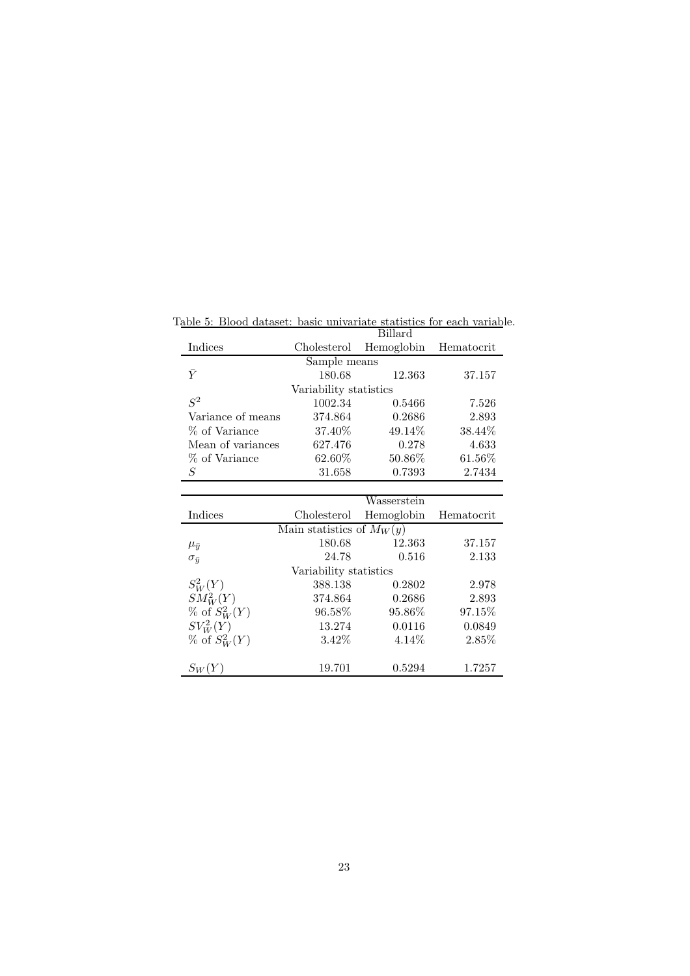Table 5: Blood dataset: basic univariate statistics for each variable.

<span id="page-22-0"></span>

|                        | Billard                     |             |            |  |  |  |  |  |
|------------------------|-----------------------------|-------------|------------|--|--|--|--|--|
| Indices                | Cholesterol                 | Hemoglobin  | Hematocrit |  |  |  |  |  |
| Sample means           |                             |             |            |  |  |  |  |  |
| $\bar{Y}$              | 180.68                      | 12.363      | 37.157     |  |  |  |  |  |
|                        | Variability statistics      |             |            |  |  |  |  |  |
| $S^2$                  | 1002.34                     | 0.5466      | 7.526      |  |  |  |  |  |
| Variance of means      | 374.864                     | 0.2686      | 2.893      |  |  |  |  |  |
| % of Variance          | 37.40\%                     | 49.14\%     | 38.44\%    |  |  |  |  |  |
| Mean of variances      | 627.476                     | 0.278       | 4.633      |  |  |  |  |  |
| % of Variance          | 62.60\%                     | 50.86\%     | 61.56\%    |  |  |  |  |  |
| S                      | 31.658                      | 0.7393      | 2.7434     |  |  |  |  |  |
|                        |                             |             |            |  |  |  |  |  |
|                        |                             | Wasserstein |            |  |  |  |  |  |
| Indices                | Cholesterol                 | Hemoglobin  | Hematocrit |  |  |  |  |  |
|                        | Main statistics of $M_W(y)$ |             |            |  |  |  |  |  |
| $\mu_{\bar{y}}$        | 180.68                      | 12.363      | 37.157     |  |  |  |  |  |
| $\sigma_{\bar{u}}$     | 24.78                       | 0.516       | 2.133      |  |  |  |  |  |
| Variability statistics |                             |             |            |  |  |  |  |  |
| $S^2_W(Y)$             | 388.138                     | 0.2802      | 2.978      |  |  |  |  |  |

 $SM_W^2(Y)$  374.864 0.2686 2.893

 $SV_W^2(Y)$  13.274 0.0116 0.0849 % of  $S_W^2(Y)$  3.42% 4.14% 2.85%

 $S_W(Y)$  19.701 0.5294 1.7257

 $\begin{array}{cccc} 96.58\% & & 95.86\% & & 97.15\% \\ 13.274 & & 0.0116 & & 0.0849 \end{array}$ 

 $\%$  of  $S^2_W$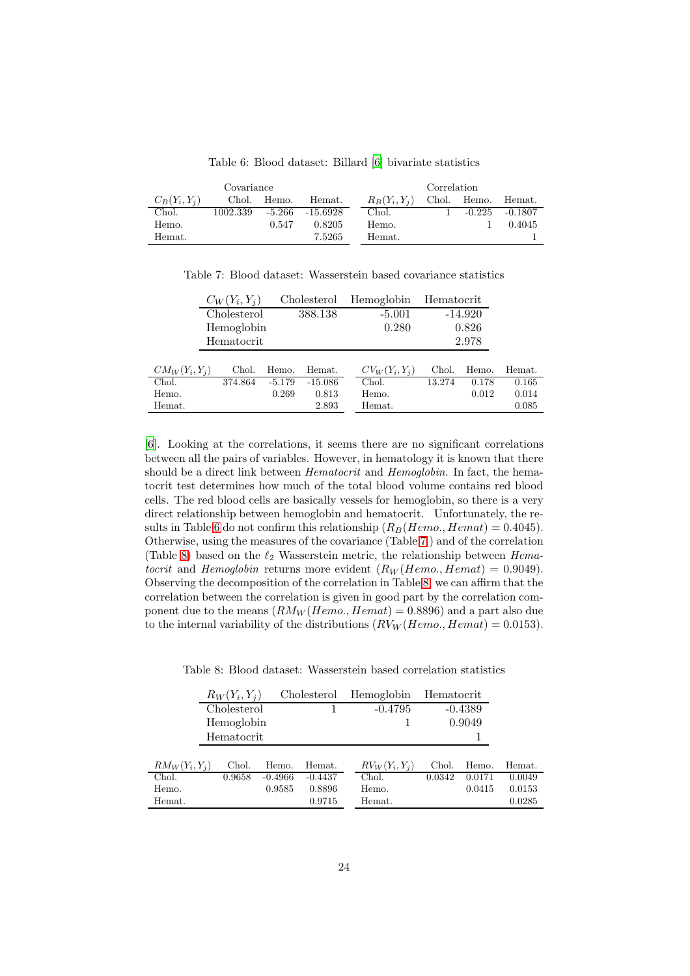| Covariance      |          |          |            |       |                 | Correlation |          |           |
|-----------------|----------|----------|------------|-------|-----------------|-------------|----------|-----------|
| $C_B(Y_i, Y_i)$ | Chol.    | Hemo.    | Hemat.     |       | $R_B(Y_i, Y_i)$ | Chol.       | Hemo.    | Hemat.    |
| Chol.           | 1002.339 | $-5.266$ | $-15.6928$ | Chol. |                 |             | $-0.225$ | $-0.1807$ |
| Hemo.           |          | 0.547    | 0.8205     | Hemo. |                 |             |          | 0.4045    |
| Hemat.          |          |          | 7.5265     |       | Hemat.          |             |          |           |

<span id="page-23-0"></span>Table 6: Blood dataset: Billard [\[6\]](#page-26-2) bivariate statistics

<span id="page-23-1"></span>Table 7: Blood dataset: Wasserstein based covariance statistics

| $C_W(Y_i,Y_i)$            | Cholesterol           | Hemoglobin                 | Hematocrit |           |        |
|---------------------------|-----------------------|----------------------------|------------|-----------|--------|
| Cholesterol               | 388.138               | $-5.001$                   |            | $-14.920$ |        |
| Hemoglobin                |                       | 0.280                      |            | 0.826     |        |
| Hematocrit                |                       |                            |            | 2.978     |        |
|                           |                       |                            |            |           |        |
| $CM_W(Y_i, Y_i)$<br>Chol. | Hemat.<br>Hemo.       | $CV_W(Y_i, Y_i)$           | Chol.      | Hemo.     | Hemat. |
| Chol.<br>374.864          | $-15.086$<br>$-5.179$ | $\overline{\text{Chol}}$ . | 13.274     | 0.178     | 0.165  |
| Hemo.                     | 0.269<br>0.813        | Hemo.                      |            | 0.012     | 0.014  |
| Hemat.                    | 2.893                 | Hemat.                     |            |           | 0.085  |

[\[6\]](#page-26-2). Looking at the correlations, it seems there are no significant correlations between all the pairs of variables. However, in hematology it is known that there should be a direct link between *Hematocrit* and *Hemoglobin*. In fact, the hematocrit test determines how much of the total blood volume contains red blood cells. The red blood cells are basically vessels for hemoglobin, so there is a very direct relationship between hemoglobin and hematocrit. Unfortunately, the re-sults in Table [6](#page-23-0) do not confirm this relationship  $(R_B(Hemo., Hemat) = 0.4045)$ . Otherwise, using the measures of the covariance (Table [7](#page-23-1) ) and of the correlation (Table [8\)](#page-23-2) based on the ℓ<sup>2</sup> Wasserstein metric, the relationship between *Hematocrit* and *Hemoglobin* returns more evident  $(R_W(Hemo., Hemat) = 0.9049)$ . Observing the decomposition of the correlation in Table [8,](#page-23-2) we can affirm that the correlation between the correlation is given in good part by the correlation component due to the means  $(RM_W(Hemo., Hemat) = 0.8896)$  and a part also due to the internal variability of the distributions  $(RV_W(Hemo., Hemat) = 0.0153)$ .

<span id="page-23-2"></span>Table 8: Blood dataset: Wasserstein based correlation statistics

|                  | $R_W(Y_i, Y_i)$ |           | Cholesterol | Hemoglobin       | Hematocrit |           |        |
|------------------|-----------------|-----------|-------------|------------------|------------|-----------|--------|
|                  | Cholesterol     |           |             | $-0.4795$        |            | $-0.4389$ |        |
| Hemoglobin       |                 |           |             | 0.9049           |            |           |        |
| Hematocrit       |                 |           |             |                  |            |           |        |
|                  |                 |           |             |                  |            |           |        |
| $RM_W(Y_i, Y_i)$ | Chol.           | Hemo.     | Hemat.      | $RV_W(Y_i, Y_j)$ | Chol.      | Hemo.     | Hemat. |
| Chol.            | 0.9658          | $-0.4966$ | $-0.4437$   | Chol.            | 0.0342     | 0.0171    | 0.0049 |
| Hemo.            |                 | 0.9585    | 0.8896      | Hemo.            |            | 0.0415    | 0.0153 |
| Hemat.           |                 |           | 0.9715      | Hemat.           |            |           | 0.0285 |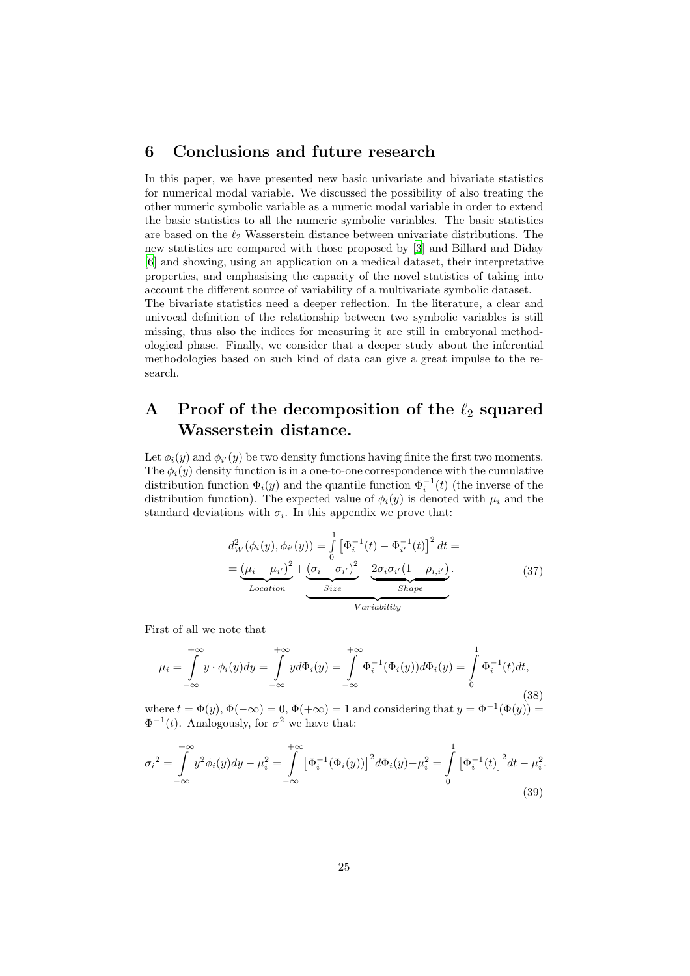#### <span id="page-24-0"></span>6 Conclusions and future research

In this paper, we have presented new basic univariate and bivariate statistics for numerical modal variable. We discussed the possibility of also treating the other numeric symbolic variable as a numeric modal variable in order to extend the basic statistics to all the numeric symbolic variables. The basic statistics are based on the  $\ell_2$  Wasserstein distance between univariate distributions. The new statistics are compared with those proposed by [\[3\]](#page-26-4) and Billard and Diday [\[6\]](#page-26-2) and showing, using an application on a medical dataset, their interpretative properties, and emphasising the capacity of the novel statistics of taking into account the different source of variability of a multivariate symbolic dataset.

The bivariate statistics need a deeper reflection. In the literature, a clear and univocal definition of the relationship between two symbolic variables is still missing, thus also the indices for measuring it are still in embryonal methodological phase. Finally, we consider that a deeper study about the inferential methodologies based on such kind of data can give a great impulse to the research.

# <span id="page-24-1"></span>A Proof of the decomposition of the  $\ell_2$  squared Wasserstein distance.

Let  $\phi_i(y)$  and  $\phi_{i'}(y)$  be two density functions having finite the first two moments. The  $\phi_i(y)$  density function is in a one-to-one correspondence with the cumulative distribution function  $\Phi_i(y)$  and the quantile function  $\Phi_i^{-1}(t)$  (the inverse of the distribution function). The expected value of  $\phi_i(y)$  is denoted with  $\mu_i$  and the standard deviations with  $\sigma_i$ . In this appendix we prove that:

<span id="page-24-4"></span>
$$
d_W^2(\phi_i(y), \phi_{i'}(y)) = \int_0^1 \left[\Phi_i^{-1}(t) - \Phi_{i'}^{-1}(t)\right]^2 dt =
$$
  
= 
$$
\underbrace{(\mu_i - \mu_{i'})^2}_{Location} + \underbrace{(\sigma_i - \sigma_{i'})^2}_{Size} + \underbrace{2\sigma_i\sigma_{i'}(1 - \rho_{i,i'})}_{Shape}.
$$
 (37)

.

First of all we note that

<span id="page-24-2"></span>
$$
\mu_i = \int_{-\infty}^{+\infty} y \cdot \phi_i(y) dy = \int_{-\infty}^{+\infty} y d\Phi_i(y) = \int_{-\infty}^{+\infty} \Phi_i^{-1}(\Phi_i(y)) d\Phi_i(y) = \int_0^1 \Phi_i^{-1}(t) dt,
$$
\n(38)

where  $t = \Phi(y)$ ,  $\Phi(-\infty) = 0$ ,  $\Phi(+\infty) = 1$  and considering that  $y = \Phi^{-1}(\Phi(y)) =$  $\Phi^{-1}(t)$ . Analogously, for  $\sigma^2$  we have that:

<span id="page-24-3"></span>
$$
\sigma_i^2 = \int_{-\infty}^{+\infty} y^2 \phi_i(y) dy - \mu_i^2 = \int_{-\infty}^{+\infty} \left[ \Phi_i^{-1} (\Phi_i(y)) \right]^2 d\Phi_i(y) - \mu_i^2 = \int_0^1 \left[ \Phi_i^{-1}(t) \right]^2 dt - \mu_i^2
$$
\n(39)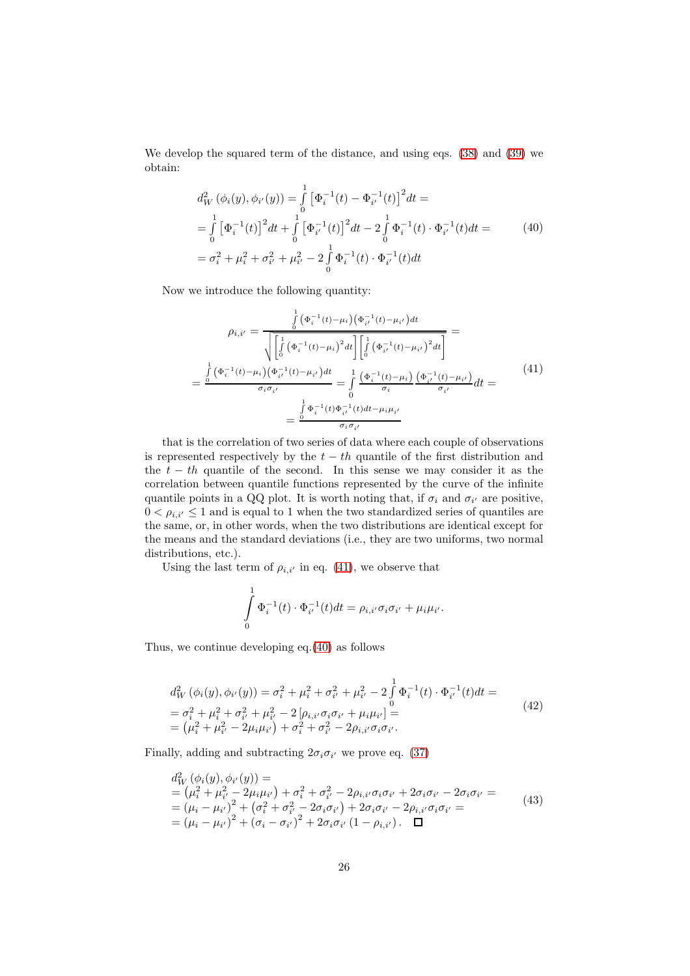We develop the squared term of the distance, and using eqs. [\(38\)](#page-24-2) and [\(39\)](#page-24-3) we obtain:

<span id="page-25-1"></span>
$$
d_W^2(\phi_i(y), \phi_{i'}(y)) = \int_0^1 \left[\Phi_i^{-1}(t) - \Phi_{i'}^{-1}(t)\right]^2 dt =
$$
  
\n
$$
= \int_0^1 \left[\Phi_i^{-1}(t)\right]^2 dt + \int_0^1 \left[\Phi_{i'}^{-1}(t)\right]^2 dt - 2 \int_0^1 \Phi_i^{-1}(t) \cdot \Phi_{i'}^{-1}(t) dt =
$$
  
\n
$$
= \sigma_i^2 + \mu_i^2 + \sigma_{i'}^2 + \mu_{i'}^2 - 2 \int_0^1 \Phi_i^{-1}(t) \cdot \Phi_{i'}^{-1}(t) dt
$$
\n(40)

Now we introduce the following quantity:

<span id="page-25-0"></span>
$$
\rho_{i,i'} = \frac{\int_{0}^{1} (\Phi_{i}^{-1}(t) - \mu_{i})(\Phi_{i'}^{-1}(t) - \mu_{i'})dt}{\sqrt{\left[\int_{0}^{1} (\Phi_{i}^{-1}(t) - \mu_{i})^{2} dt\right] \left[\int_{0}^{1} (\Phi_{i'}^{-1}(t) - \mu_{i'})^{2} dt\right]}} = \frac{\int_{0}^{1} (\Phi_{i}^{-1}(t) - \mu_{i})(\Phi_{i'}^{-1}(t) - \mu_{i'})dt}{\sigma_{i}\sigma_{i'}} = \frac{\int_{0}^{1} (\Phi_{i}^{-1}(t) - \mu_{i})(\Phi_{i'}^{-1}(t) - \mu_{i'})}{\sigma_{i}} dt = \frac{\int_{0}^{1} \Phi_{i}^{-1}(t)\Phi_{i'}^{-1}(t)dt - \mu_{i}\mu_{i'}}{\sigma_{i}\sigma_{i'}}
$$
\n
$$
= \frac{\int_{0}^{1} \Phi_{i}^{-1}(t)\Phi_{i'}^{-1}(t)dt - \mu_{i}\mu_{i'}}{\sigma_{i}\sigma_{i'}}
$$
\n
$$
(41)
$$

that is the correlation of two series of data where each couple of observations is represented respectively by the  $t - th$  quantile of the first distribution and the  $t - th$  quantile of the second. In this sense we may consider it as the correlation between quantile functions represented by the curve of the infinite quantile points in a QQ plot. It is worth noting that, if  $\sigma_i$  and  $\sigma_{i'}$  are positive,  $0 < \rho_{i,i'} \leq 1$  and is equal to 1 when the two standardized series of quantiles are the same, or, in other words, when the two distributions are identical except for the means and the standard deviations (i.e., they are two uniforms, two normal distributions, etc.).

Using the last term of  $\rho_{i,i'}$  in eq. [\(41\)](#page-25-0), we observe that

$$
\int_{0}^{1} \Phi_{i}^{-1}(t) \cdot \Phi_{i'}^{-1}(t) dt = \rho_{i,i'} \sigma_{i} \sigma_{i'} + \mu_{i} \mu_{i'}.
$$

Thus, we continue developing eq.[\(40\)](#page-25-1) as follows

$$
d_W^2(\phi_i(y), \phi_{i'}(y)) = \sigma_i^2 + \mu_i^2 + \sigma_{i'}^2 + \mu_{i'}^2 - 2 \int_0^1 \Phi_i^{-1}(t) \cdot \Phi_{i'}^{-1}(t) dt =
$$
  
=  $\sigma_i^2 + \mu_i^2 + \sigma_{i'}^2 + \mu_{i'}^2 - 2 [\rho_{i,i'} \sigma_i \sigma_{i'} + \mu_i \mu_{i'}] =$   
=  $(\mu_i^2 + \mu_{i'}^2 - 2\mu_i \mu_{i'}) + \sigma_i^2 + \sigma_{i'}^2 - 2\rho_{i,i'} \sigma_i \sigma_{i'}.$  (42)

Finally, adding and subtracting  $2\sigma_i \sigma_{i'}$  we prove eq. [\(37\)](#page-24-4)

$$
d_W^2(\phi_i(y), \phi_{i'}(y)) =
$$
  
=  $(\mu_i^2 + \mu_{i'}^2 - 2\mu_i\mu_{i'}) + \sigma_i^2 + \sigma_{i'}^2 - 2\rho_{i,i'}\sigma_i\sigma_{i'} + 2\sigma_i\sigma_{i'} - 2\sigma_i\sigma_{i'} =$   
=  $(\mu_i - \mu_{i'})^2 + (\sigma_i^2 + \sigma_{i'}^2 - 2\sigma_i\sigma_{i'}) + 2\sigma_i\sigma_{i'} - 2\rho_{i,i'}\sigma_i\sigma_{i'} =$   
=  $(\mu_i - \mu_{i'})^2 + (\sigma_i - \sigma_{i'})^2 + 2\sigma_i\sigma_{i'} (1 - \rho_{i,i'})$ .  $\square$  (43)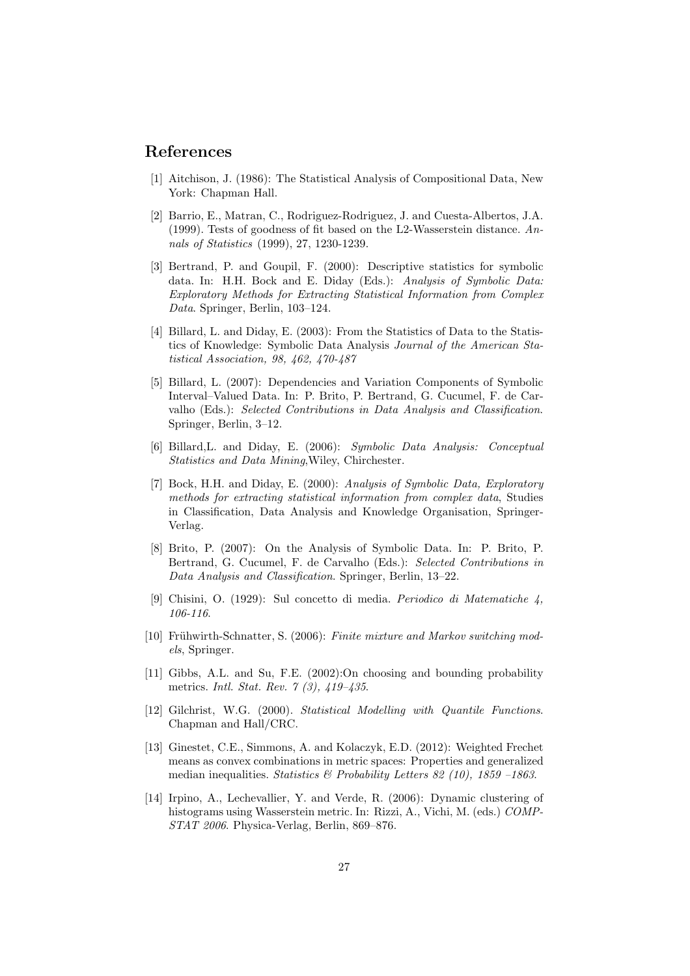#### References

- <span id="page-26-1"></span>[1] Aitchison, J. (1986): The Statistical Analysis of Compositional Data, New York: Chapman Hall.
- <span id="page-26-12"></span>[2] Barrio, E., Matran, C., Rodriguez-Rodriguez, J. and Cuesta-Albertos, J.A. (1999). Tests of goodness of fit based on the L2-Wasserstein distance. *Annals of Statistics* (1999), 27, 1230-1239.
- <span id="page-26-4"></span>[3] Bertrand, P. and Goupil, F. (2000): Descriptive statistics for symbolic data. In: H.H. Bock and E. Diday (Eds.): *Analysis of Symbolic Data: Exploratory Methods for Extracting Statistical Information from Complex Data*. Springer, Berlin, 103–124.
- <span id="page-26-3"></span>[4] Billard, L. and Diday, E. (2003): From the Statistics of Data to the Statistics of Knowledge: Symbolic Data Analysis *Journal of the American Statistical Association, 98, 462, 470-487*
- <span id="page-26-5"></span>[5] Billard, L. (2007): Dependencies and Variation Components of Symbolic Interval–Valued Data. In: P. Brito, P. Bertrand, G. Cucumel, F. de Carvalho (Eds.): *Selected Contributions in Data Analysis and Classification*. Springer, Berlin, 3–12.
- <span id="page-26-2"></span>[6] Billard,L. and Diday, E. (2006): *Symbolic Data Analysis: Conceptual Statistics and Data Mining*,Wiley, Chirchester.
- <span id="page-26-0"></span>[7] Bock, H.H. and Diday, E. (2000): *Analysis of Symbolic Data, Exploratory methods for extracting statistical information from complex data*, Studies in Classification, Data Analysis and Knowledge Organisation, Springer-Verlag.
- <span id="page-26-6"></span>[8] Brito, P. (2007): On the Analysis of Symbolic Data. In: P. Brito, P. Bertrand, G. Cucumel, F. de Carvalho (Eds.): *Selected Contributions in Data Analysis and Classification*. Springer, Berlin, 13–22.
- <span id="page-26-9"></span>[9] Chisini, O. (1929): Sul concetto di media. *Periodico di Matematiche 4, 106-116*.
- <span id="page-26-7"></span>[10] Frühwirth-Schnatter, S. (2006): *Finite mixture and Markov switching models*, Springer.
- <span id="page-26-10"></span>[11] Gibbs, A.L. and Su, F.E. (2002):On choosing and bounding probability metrics. *Intl. Stat. Rev. 7 (3), 419–435*.
- <span id="page-26-11"></span>[12] Gilchrist, W.G. (2000). *Statistical Modelling with Quantile Functions*. Chapman and Hall/CRC.
- <span id="page-26-8"></span>[13] Ginestet, C.E., Simmons, A. and Kolaczyk, E.D. (2012): Weighted Frechet means as convex combinations in metric spaces: Properties and generalized median inequalities. *Statistics & Probability Letters 82 (10), 1859 –1863*.
- <span id="page-26-13"></span>[14] Irpino, A., Lechevallier, Y. and Verde, R. (2006): Dynamic clustering of histograms using Wasserstein metric. In: Rizzi, A., Vichi, M. (eds.) *COMP-STAT 2006*. Physica-Verlag, Berlin, 869–876.